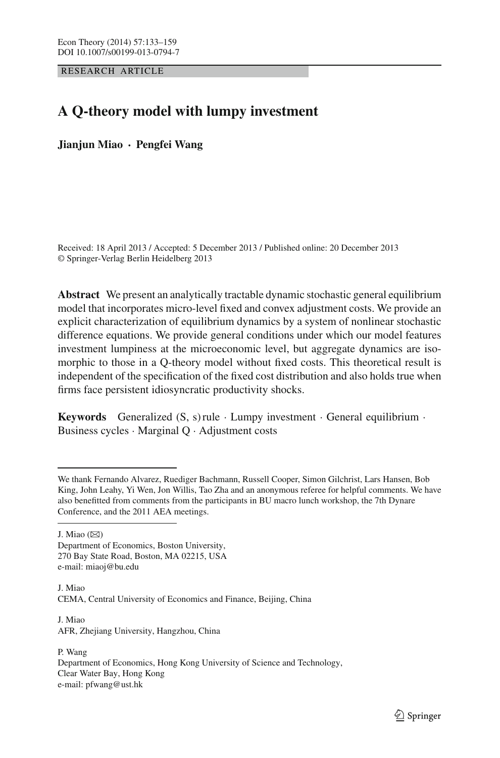RESEARCH ARTICLE

# **A Q-theory model with lumpy investment**

**Jianjun Miao · Pengfei Wang**

Received: 18 April 2013 / Accepted: 5 December 2013 / Published online: 20 December 2013 © Springer-Verlag Berlin Heidelberg 2013

**Abstract** We present an analytically tractable dynamic stochastic general equilibrium model that incorporates micro-level fixed and convex adjustment costs. We provide an explicit characterization of equilibrium dynamics by a system of nonlinear stochastic difference equations. We provide general conditions under which our model features investment lumpiness at the microeconomic level, but aggregate dynamics are isomorphic to those in a Q-theory model without fixed costs. This theoretical result is independent of the specification of the fixed cost distribution and also holds true when firms face persistent idiosyncratic productivity shocks.

**Keywords** Generalized  $(S, s)$  rule  $\cdot$  Lumpy investment  $\cdot$  General equilibrium  $\cdot$ Business cycles · Marginal Q · Adjustment costs

J. Miao  $(\boxtimes)$ 

Department of Economics, Boston University, 270 Bay State Road, Boston, MA 02215, USA e-mail: miaoj@bu.edu

J. Miao CEMA, Central University of Economics and Finance, Beijing, China

J. Miao AFR, Zhejiang University, Hangzhou, China

P. Wang Department of Economics, Hong Kong University of Science and Technology, Clear Water Bay, Hong Kong e-mail: pfwang@ust.hk

We thank Fernando Alvarez, Ruediger Bachmann, Russell Cooper, Simon Gilchrist, Lars Hansen, Bob King, John Leahy, Yi Wen, Jon Willis, Tao Zha and an anonymous referee for helpful comments. We have also benefitted from comments from the participants in BU macro lunch workshop, the 7th Dynare Conference, and the 2011 AEA meetings.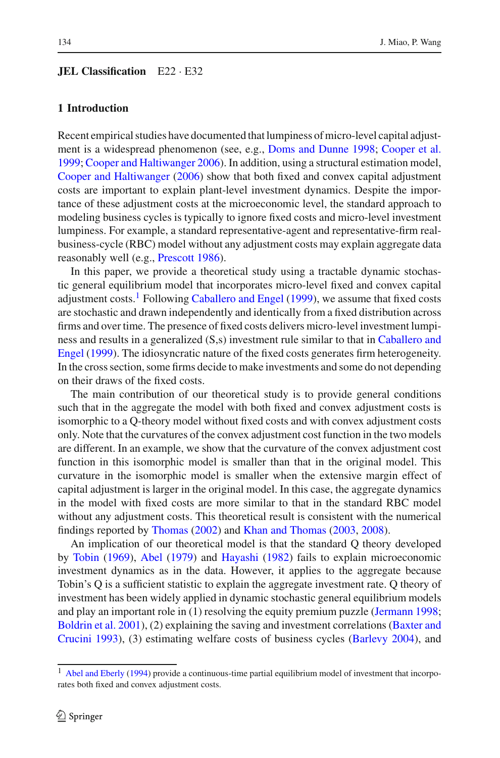#### **JEL Classification** E22 · E32

## **1 Introduction**

Recent empirical studies have documented that lumpiness of micro-level capital adjustment is a widespread phenomenon (see, e.g., [Doms and Dunne 1998;](#page-25-0) [Cooper et al.](#page-25-1) [1999;](#page-25-1) [Cooper and Haltiwanger 2006](#page-25-2)). In addition, using a structural estimation model, [Cooper and Haltiwanger](#page-25-2) [\(2006\)](#page-25-2) show that both fixed and convex capital adjustment costs are important to explain plant-level investment dynamics. Despite the importance of these adjustment costs at the microeconomic level, the standard approach to modeling business cycles is typically to ignore fixed costs and micro-level investment lumpiness. For example, a standard representative-agent and representative-firm realbusiness-cycle (RBC) model without any adjustment costs may explain aggregate data reasonably well (e.g., [Prescott 1986](#page-26-0)).

In this paper, we provide a theoretical study using a tractable dynamic stochastic general equilibrium model that incorporates micro-level fixed and convex capital adjustment costs.<sup>[1](#page-1-0)</sup> Following [Caballero and Engel](#page-25-3) [\(1999](#page-25-3)), we assume that fixed costs are stochastic and drawn independently and identically from a fixed distribution across firms and over time. The presence of fixed costs delivers micro-level investment lumpiness [and](#page-25-3) [results](#page-25-3) [in](#page-25-3) [a](#page-25-3) [generalized](#page-25-3) [\(S,s\)](#page-25-3) [investment](#page-25-3) [rule](#page-25-3) [similar](#page-25-3) [to](#page-25-3) [that](#page-25-3) [in](#page-25-3) Caballero and Engel [\(1999](#page-25-3)). The idiosyncratic nature of the fixed costs generates firm heterogeneity. In the cross section, some firms decide to make investments and some do not depending on their draws of the fixed costs.

The main contribution of our theoretical study is to provide general conditions such that in the aggregate the model with both fixed and convex adjustment costs is isomorphic to a Q-theory model without fixed costs and with convex adjustment costs only. Note that the curvatures of the convex adjustment cost function in the two models are different. In an example, we show that the curvature of the convex adjustment cost function in this isomorphic model is smaller than that in the original model. This curvature in the isomorphic model is smaller when the extensive margin effect of capital adjustment is larger in the original model. In this case, the aggregate dynamics in the model with fixed costs are more similar to that in the standard RBC model without any adjustment costs. This theoretical result is consistent with the numerical findings reported by [Thomas](#page-26-1) [\(2002](#page-26-1)) and [Khan and Thomas](#page-25-4) [\(2003,](#page-25-4) [2008\)](#page-25-5).

An implication of our theoretical model is that the standard Q theory developed by [Tobin](#page-26-2) [\(1969](#page-26-2)), [Abel](#page-25-6) [\(1979\)](#page-25-6) and [Hayashi](#page-25-7) [\(1982](#page-25-7)) fails to explain microeconomic investment dynamics as in the data. However, it applies to the aggregate because Tobin's Q is a sufficient statistic to explain the aggregate investment rate. Q theory of investment has been widely applied in dynamic stochastic general equilibrium models and play an important role in (1) resolving the equity premium puzzle [\(Jermann 1998](#page-25-8); [Boldrin et al. 2001](#page-25-9)[\),](#page-25-10) [\(2\)](#page-25-10) [explaining](#page-25-10) [the](#page-25-10) [saving](#page-25-10) [and](#page-25-10) [investment](#page-25-10) [correlations](#page-25-10) [\(](#page-25-10)Baxter and Crucini [1993\)](#page-25-10), (3) estimating welfare costs of business cycles [\(Barlevy 2004](#page-25-11)), and

<span id="page-1-0"></span> $1$  [Abel and Eberly](#page-25-12) [\(1994](#page-25-12)) provide a continuous-time partial equilibrium model of investment that incorporates both fixed and convex adjustment costs.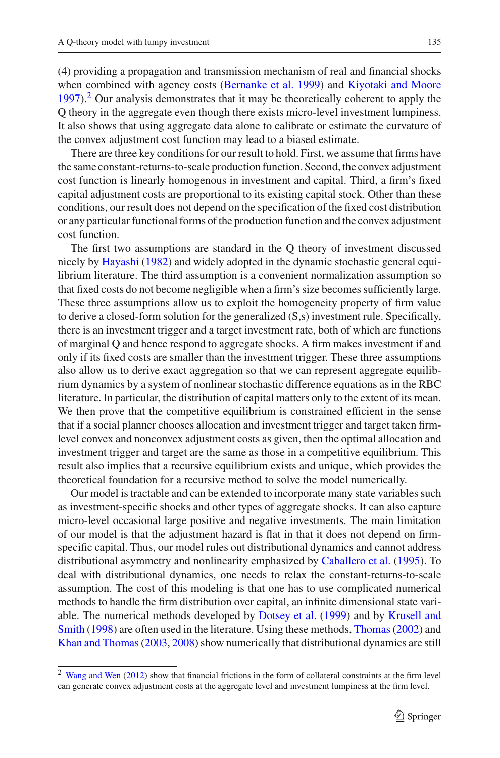(4) providing a propagation and transmission mechanism of real and financial shocks when combined with agency costs [\(Bernanke et al. 1999\)](#page-25-13) and [Kiyotaki and Moore](#page-25-14)  $1997$ ).<sup>[2](#page-2-0)</sup> Our analysis demonstrates that it may be theoretically coherent to apply the Q theory in the aggregate even though there exists micro-level investment lumpiness. It also shows that using aggregate data alone to calibrate or estimate the curvature of the convex adjustment cost function may lead to a biased estimate.

There are three key conditions for our result to hold. First, we assume that firms have the same constant-returns-to-scale production function. Second, the convex adjustment cost function is linearly homogenous in investment and capital. Third, a firm's fixed capital adjustment costs are proportional to its existing capital stock. Other than these conditions, our result does not depend on the specification of the fixed cost distribution or any particular functional forms of the production function and the convex adjustment cost function.

The first two assumptions are standard in the Q theory of investment discussed nicely by [Hayashi](#page-25-7) [\(1982\)](#page-25-7) and widely adopted in the dynamic stochastic general equilibrium literature. The third assumption is a convenient normalization assumption so that fixed costs do not become negligible when a firm's size becomes sufficiently large. These three assumptions allow us to exploit the homogeneity property of firm value to derive a closed-form solution for the generalized (S,s) investment rule. Specifically, there is an investment trigger and a target investment rate, both of which are functions of marginal Q and hence respond to aggregate shocks. A firm makes investment if and only if its fixed costs are smaller than the investment trigger. These three assumptions also allow us to derive exact aggregation so that we can represent aggregate equilibrium dynamics by a system of nonlinear stochastic difference equations as in the RBC literature. In particular, the distribution of capital matters only to the extent of its mean. We then prove that the competitive equilibrium is constrained efficient in the sense that if a social planner chooses allocation and investment trigger and target taken firmlevel convex and nonconvex adjustment costs as given, then the optimal allocation and investment trigger and target are the same as those in a competitive equilibrium. This result also implies that a recursive equilibrium exists and unique, which provides the theoretical foundation for a recursive method to solve the model numerically.

Our model is tractable and can be extended to incorporate many state variables such as investment-specific shocks and other types of aggregate shocks. It can also capture micro-level occasional large positive and negative investments. The main limitation of our model is that the adjustment hazard is flat in that it does not depend on firmspecific capital. Thus, our model rules out distributional dynamics and cannot address distributional asymmetry and nonlinearity emphasized by [Caballero et al.](#page-25-15) [\(1995](#page-25-15)). To deal with distributional dynamics, one needs to relax the constant-returns-to-scale assumption. The cost of this modeling is that one has to use complicated numerical methods to handle the firm distribution over capital, an infinite dimensional state variable. [The](#page-25-17) [numerical](#page-25-17) [methods](#page-25-17) [developed](#page-25-17) [by](#page-25-17) [Dotsey et al.](#page-25-16) [\(1999\)](#page-25-16) and by Krusell and Smith [\(1998\)](#page-25-17) are often used in the literature. Using these methods, [Thomas\(2002](#page-26-1)) and [Khan and Thomas\(2003](#page-25-4), [2008](#page-25-5)) show numerically that distributional dynamics are still

<span id="page-2-0"></span><sup>2</sup> [Wang and Wen](#page-26-3) [\(2012\)](#page-26-3) show that financial frictions in the form of collateral constraints at the firm level can generate convex adjustment costs at the aggregate level and investment lumpiness at the firm level.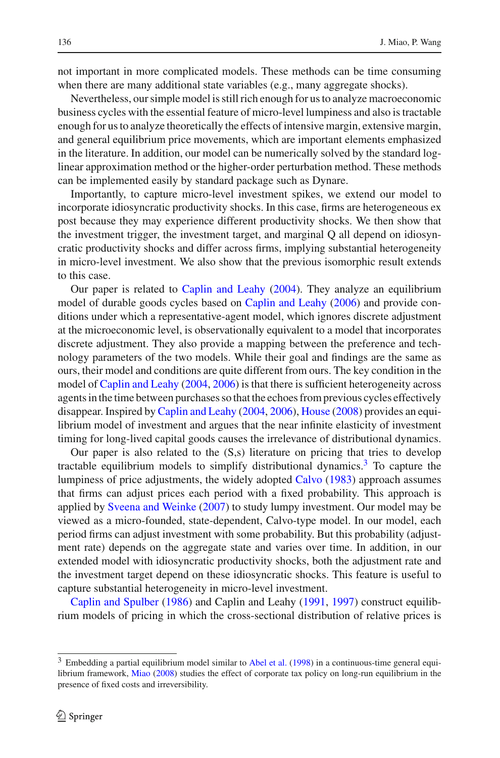not important in more complicated models. These methods can be time consuming when there are many additional state variables (e.g., many aggregate shocks).

Nevertheless, our simple model is still rich enough for us to analyze macroeconomic business cycles with the essential feature of micro-level lumpiness and also is tractable enough for us to analyze theoretically the effects of intensive margin, extensive margin, and general equilibrium price movements, which are important elements emphasized in the literature. In addition, our model can be numerically solved by the standard loglinear approximation method or the higher-order perturbation method. These methods can be implemented easily by standard package such as Dynare.

Importantly, to capture micro-level investment spikes, we extend our model to incorporate idiosyncratic productivity shocks. In this case, firms are heterogeneous ex post because they may experience different productivity shocks. We then show that the investment trigger, the investment target, and marginal Q all depend on idiosyncratic productivity shocks and differ across firms, implying substantial heterogeneity in micro-level investment. We also show that the previous isomorphic result extends to this case.

Our paper is related to [Caplin and Leahy](#page-25-18) [\(2004](#page-25-18)). They analyze an equilibrium model of durable goods cycles based on [Caplin and Leahy](#page-25-19) [\(2006\)](#page-25-19) and provide conditions under which a representative-agent model, which ignores discrete adjustment at the microeconomic level, is observationally equivalent to a model that incorporates discrete adjustment. They also provide a mapping between the preference and technology parameters of the two models. While their goal and findings are the same as ours, their model and conditions are quite different from ours. The key condition in the model of [Caplin and Leahy](#page-25-18) [\(2004,](#page-25-18) [2006](#page-25-19)) is that there is sufficient heterogeneity across agents in the time between purchases so that the echoes from previous cycles effectively disappear. Inspired by [Caplin and Leahy](#page-25-18) [\(2004](#page-25-18), [2006](#page-25-19)), [House](#page-25-20) [\(2008](#page-25-20)) provides an equilibrium model of investment and argues that the near infinite elasticity of investment timing for long-lived capital goods causes the irrelevance of distributional dynamics.

Our paper is also related to the (S,s) literature on pricing that tries to develop tractable equilibrium models to simplify distributional dynamics.<sup>[3](#page-3-0)</sup> To capture the lumpiness of price adjustments, the widely adopted [Calvo](#page-25-21) [\(1983](#page-25-21)) approach assumes that firms can adjust prices each period with a fixed probability. This approach is applied by [Sveena and Weinke](#page-26-4) [\(2007](#page-26-4)) to study lumpy investment. Our model may be viewed as a micro-founded, state-dependent, Calvo-type model. In our model, each period firms can adjust investment with some probability. But this probability (adjustment rate) depends on the aggregate state and varies over time. In addition, in our extended model with idiosyncratic productivity shocks, both the adjustment rate and the investment target depend on these idiosyncratic shocks. This feature is useful to [capture](#page-25-22) [substantial](#page-25-22) [hete](#page-25-22)rogeneity in micro-level investment.

Caplin and Spulber [\(1986\)](#page-25-22) and Caplin and Leahy [\(1991](#page-25-23), [1997\)](#page-25-24) construct equilibrium models of pricing in which the cross-sectional distribution of relative prices is

<span id="page-3-0"></span><sup>&</sup>lt;sup>3</sup> Embedding a partial equilibrium model similar to [Abel et al.](#page-25-25) [\(1998](#page-25-25)) in a continuous-time general equilibrium framework, [Miao](#page-26-5) [\(2008](#page-26-5)) studies the effect of corporate tax policy on long-run equilibrium in the presence of fixed costs and irreversibility.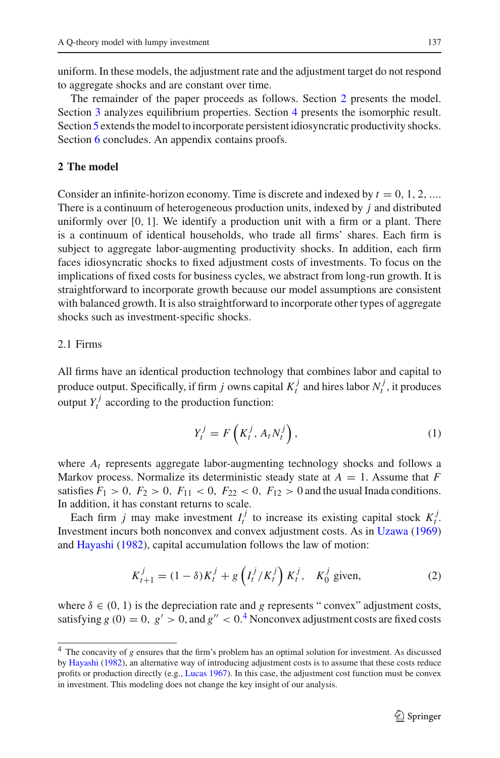uniform. In these models, the adjustment rate and the adjustment target do not respond to aggregate shocks and are constant over time.

The remainder of the paper proceeds as follows. Section [2](#page-4-0) presents the model. Section [3](#page-6-0) analyzes equilibrium properties. Section [4](#page-13-0) presents the isomorphic result. Section [5](#page-15-0) extends the model to incorporate persistent idiosyncratic productivity shocks. Section [6](#page-19-0) concludes. An appendix contains proofs.

## <span id="page-4-0"></span>**2 The model**

Consider an infinite-horizon economy. Time is discrete and indexed by  $t = 0, 1, 2, ...$ There is a continuum of heterogeneous production units, indexed by *j* and distributed uniformly over  $[0, 1]$ . We identify a production unit with a firm or a plant. There is a continuum of identical households, who trade all firms' shares. Each firm is subject to aggregate labor-augmenting productivity shocks. In addition, each firm faces idiosyncratic shocks to fixed adjustment costs of investments. To focus on the implications of fixed costs for business cycles, we abstract from long-run growth. It is straightforward to incorporate growth because our model assumptions are consistent with balanced growth. It is also straightforward to incorporate other types of aggregate shocks such as investment-specific shocks.

# 2.1 Firms

All firms have an identical production technology that combines labor and capital to produce output. Specifically, if firm *j* owns capital  $K_t^j$  and hires labor  $N_t^j$ , it produces output  $Y_t^j$  according to the production function:

$$
Y_t^j = F\left(K_t^j, A_t N_t^j\right),\tag{1}
$$

where *At* represents aggregate labor-augmenting technology shocks and follows a Markov process. Normalize its deterministic steady state at  $A = 1$ . Assume that  $F$ satisfies  $F_1 > 0$ ,  $F_2 > 0$ ,  $F_{11} < 0$ ,  $F_{22} < 0$ ,  $F_{12} > 0$  and the usual Inada conditions. In addition, it has constant returns to scale.

Each firm *j* may make investment  $I_t^j$  to increase its existing capital stock  $K_t^j$ . Investment incurs both nonconvex and convex adjustment costs. As in [Uzawa](#page-26-6) [\(1969\)](#page-26-6) and [Hayashi](#page-25-7) [\(1982\)](#page-25-7), capital accumulation follows the law of motion:

$$
K_{t+1}^{j} = (1 - \delta)K_t^{j} + g\left(I_t^{j}/K_t^{j}\right)K_t^{j}, \quad K_0^{j} \text{ given}, \tag{2}
$$

<span id="page-4-2"></span>where  $\delta \in (0, 1)$  is the depreciation rate and *g* represents "convex" adjustment costs, satisfying  $g(0) = 0$ ,  $g' > 0$ , and  $g'' < 0$ .<sup>[4](#page-4-1)</sup> Nonconvex adjustment costs are fixed costs

<span id="page-4-1"></span><sup>4</sup> The concavity of *g* ensures that the firm's problem has an optimal solution for investment. As discussed by [Hayashi](#page-25-7) [\(1982](#page-25-7)), an alternative way of introducing adjustment costs is to assume that these costs reduce profits or production directly (e.g., [Lucas 1967\)](#page-26-7). In this case, the adjustment cost function must be convex in investment. This modeling does not change the key insight of our analysis.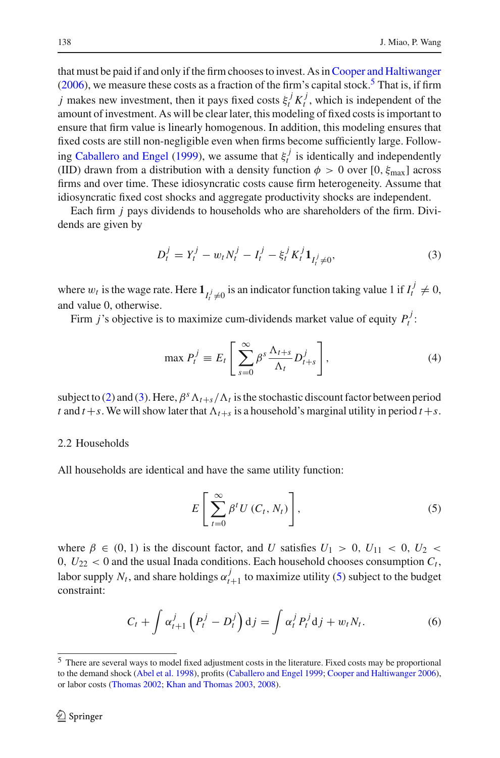that must be paid if and only if the firm chooses to invest. As in[Cooper and Haltiwanger](#page-25-2)  $(2006)$ , we measure these costs as a fraction of the firm's capital stock.<sup>5</sup> That is, if firm *j* makes new investment, then it pays fixed costs  $\xi_t^j K_t^j$ , which is independent of the amount of investment. As will be clear later, this modeling of fixed costs is important to ensure that firm value is linearly homogenous. In addition, this modeling ensures that fixed costs are still non-negligible even when firms become sufficiently large. Follow-ing [Caballero and Engel](#page-25-3) [\(1999](#page-25-3)), we assume that  $\xi_i^j$  is identically and independently (IID) drawn from a distribution with a density function  $\phi > 0$  over [0,  $\xi_{\text{max}}$ ] across firms and over time. These idiosyncratic costs cause firm heterogeneity. Assume that idiosyncratic fixed cost shocks and aggregate productivity shocks are independent.

Each firm *j* pays dividends to households who are shareholders of the firm. Dividends are given by

$$
D_t^j = Y_t^j - w_t N_t^j - I_t^j - \xi_t^j K_t^j \mathbf{1}_{I_t^j \neq 0},
$$
\n(3)

<span id="page-5-1"></span>where  $w_t$  is the wage rate. Here  $\mathbf{1}_{I_t^j \neq 0}$  is an indicator function taking value 1 if  $I_t^j \neq 0$ , and value 0, otherwise.

<span id="page-5-3"></span>Firm *j*'s objective is to maximize cum-dividends market value of equity  $P_t^j$ :

$$
\max P_t^j \equiv E_t \left[ \sum_{s=0}^{\infty} \beta^s \frac{\Lambda_{t+s}}{\Lambda_t} D_{t+s}^j \right],\tag{4}
$$

subject to [\(2\)](#page-4-2) and [\(3\)](#page-5-1). Here,  $\beta^{s} \Lambda_{t+s}/\Lambda_t$  is the stochastic discount factor between period *t* and  $t + s$ . We will show later that  $\Lambda_{t+s}$  is a household's marginal utility in period  $t + s$ .

# 2.2 Households

<span id="page-5-2"></span>All households are identical and have the same utility function:

$$
E\left[\sum_{t=0}^{\infty} \beta^t U(C_t, N_t)\right],\tag{5}
$$

where  $\beta \in (0, 1)$  is the discount factor, and *U* satisfies  $U_1 > 0$ ,  $U_{11} < 0$ ,  $U_2 <$  $0, U_{22} < 0$  and the usual Inada conditions. Each household chooses consumption  $C_t$ , labor supply  $N_t$ , and share holdings  $\alpha_{t+1}^j$  to maximize utility [\(5\)](#page-5-2) subject to the budget constraint:

$$
C_t + \int \alpha_{t+1}^j \left( P_t^j - D_t^j \right) \mathrm{d}j = \int \alpha_t^j P_t^j \mathrm{d}j + w_t N_t. \tag{6}
$$

<span id="page-5-4"></span><span id="page-5-0"></span><sup>5</sup> There are several ways to model fixed adjustment costs in the literature. Fixed costs may be proportional to the demand shock [\(Abel et al. 1998](#page-25-25)), profits [\(Caballero and Engel 1999;](#page-25-3) [Cooper and Haltiwanger 2006](#page-25-2)), or labor costs [\(Thomas 2002;](#page-26-1) [Khan and Thomas 2003,](#page-25-4) [2008](#page-25-5)).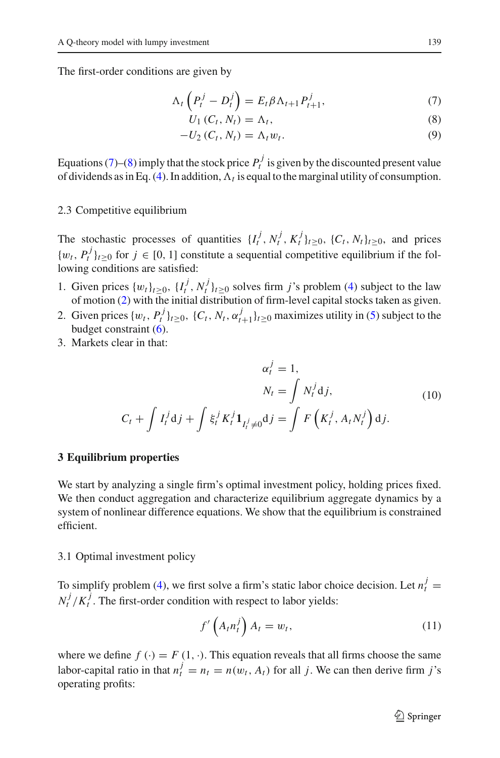<span id="page-6-1"></span>The first-order conditions are given by

$$
\Lambda_t \left( P_t^j - D_t^j \right) = E_t \beta \Lambda_{t+1} P_{t+1}^j, \tag{7}
$$

$$
U_1(C_t, N_t) = \Lambda_t,\tag{8}
$$

$$
-U_2(C_t, N_t) = \Lambda_t w_t. \tag{9}
$$

Equations [\(7\)](#page-6-1)–[\(8\)](#page-6-1) imply that the stock price  $P_t^j$  is given by the discounted present value of dividends as in Eq. [\(4\)](#page-5-3). In addition,  $\Lambda_t$  is equal to the marginal utility of consumption.

#### 2.3 Competitive equilibrium

The stochastic processes of quantities  $\{I_t^j, N_t^j, K_t^j\}_{t \geq 0}$ ,  $\{C_t, N_t\}_{t \geq 0}$ , and prices  $\{w_t, P_t^j\}_{t \geq 0}$  for  $j \in [0, 1]$  constitute a sequential competitive equilibrium if the following conditions are satisfied:

- 1. Given prices  $\{w_t\}_{t\geq 0}$ ,  $\{I_t^j, N_t^j\}_{t\geq 0}$  solves firm *j*'s problem [\(4\)](#page-5-3) subject to the law of motion [\(2\)](#page-4-2) with the initial distribution of firm-level capital stocks taken as given.
- 2. Given prices  $\{w_t, P_t^j\}_{t \geq 0}$ ,  $\{C_t, N_t, \alpha_{t+1}^j\}_{t \geq 0}$  maximizes utility in [\(5\)](#page-5-2) subject to the budget constraint [\(6\)](#page-5-4).
- <span id="page-6-4"></span>3. Markets clear in that:

$$
\alpha_t^j = 1,
$$
  
\n
$$
N_t = \int N_t^j \mathrm{d}j,
$$
  
\n
$$
C_t + \int I_t^j \mathrm{d}j + \int \xi_t^j K_t^j \mathbf{1}_{I_t^j \neq 0} \mathrm{d}j = \int F\left(K_t^j, A_t N_t^j\right) \mathrm{d}j.
$$
\n(10)

## <span id="page-6-0"></span>**3 Equilibrium properties**

We start by analyzing a single firm's optimal investment policy, holding prices fixed. We then conduct aggregation and characterize equilibrium aggregate dynamics by a system of nonlinear difference equations. We show that the equilibrium is constrained efficient.

### <span id="page-6-2"></span>3.1 Optimal investment policy

To simplify problem [\(4\)](#page-5-3), we first solve a firm's static labor choice decision. Let  $n_t^j =$  $N_t^j / K_t^j$ . The first-order condition with respect to labor yields:

$$
f'\left(A_t n_t^j\right) A_t = w_t,\tag{11}
$$

<span id="page-6-3"></span>where we define  $f(\cdot) = F(1, \cdot)$ . This equation reveals that all firms choose the same labor-capital ratio in that  $n_t^j = n_t = n(w_t, A_t)$  for all *j*. We can then derive firm *j*'s operating profits: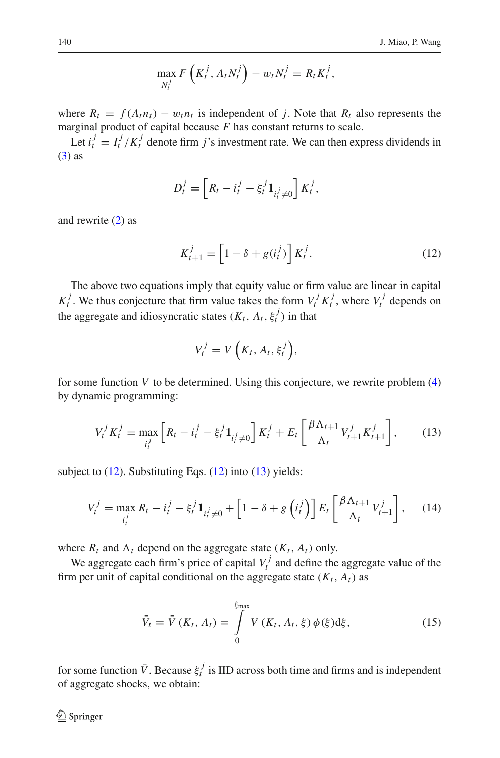$$
\max_{N_t^j} F\left(K_t^j, A_t N_t^j\right) - w_t N_t^j = R_t K_t^j,
$$

where  $R_t = f(A_t n_t) - w_t n_t$  is independent of *j*. Note that  $R_t$  also represents the marginal product of capital because *F* has constant returns to scale.

Let  $i_t^j = I_t^j / K_t^j$  denote firm *j*'s investment rate. We can then express dividends in [\(3\)](#page-5-1) as

$$
D_t^j = \left[ R_t - i_t^j - \xi_t^j \mathbf{1}_{i_t^j \neq 0} \right] K_t^j,
$$

<span id="page-7-0"></span>and rewrite [\(2\)](#page-4-2) as

$$
K_{t+1}^j = \left[1 - \delta + g(i_t^j)\right] K_t^j. \tag{12}
$$

The above two equations imply that equity value or firm value are linear in capital  $K_t^j$ . We thus conjecture that firm value takes the form  $V_t^j K_t^j$ , where  $V_t^j$  depends on the aggregate and idiosyncratic states  $(K_t, A_t, \xi_t^j)$  in that

$$
V_t^j = V\left(K_t, A_t, \xi_t^j\right),
$$

for some function  $V$  to be determined. Using this conjecture, we rewrite problem  $(4)$ by dynamic programming:

$$
V_t^j K_t^j = \max_{i_t^j} \left[ R_t - i_t^j - \xi_t^j \mathbf{1}_{i_t^j \neq 0} \right] K_t^j + E_t \left[ \frac{\beta \Lambda_{t+1}}{\Lambda_t} V_{t+1}^j K_{t+1}^j \right],\tag{13}
$$

<span id="page-7-2"></span><span id="page-7-1"></span>subject to [\(12\)](#page-7-0). Substituting Eqs. (12) into [\(13\)](#page-7-1) yields:

$$
V_t^j = \max_{i_t^j} R_t - i_t^j - \xi_t^j \mathbf{1}_{i_t^j \neq 0} + \left[1 - \delta + g\left(i_t^j\right)\right] E_t \left[\frac{\beta \Lambda_{t+1}}{\Lambda_t} V_{t+1}^j\right],\tag{14}
$$

where  $R_t$  and  $\Lambda_t$  depend on the aggregate state  $(K_t, A_t)$  only.

We aggregate each firm's price of capital  $V_t^j$  and define the aggregate value of the firm per unit of capital conditional on the aggregate state  $(K_t, A_t)$  as

$$
\bar{V}_t \equiv \bar{V}(K_t, A_t) \equiv \int\limits_0^{\xi_{\text{max}}} V(K_t, A_t, \xi) \phi(\xi) d\xi, \qquad (15)
$$

for some function  $\bar{V}$ . Because  $\xi_t^j$  is IID across both time and firms and is independent of aggregate shocks, we obtain: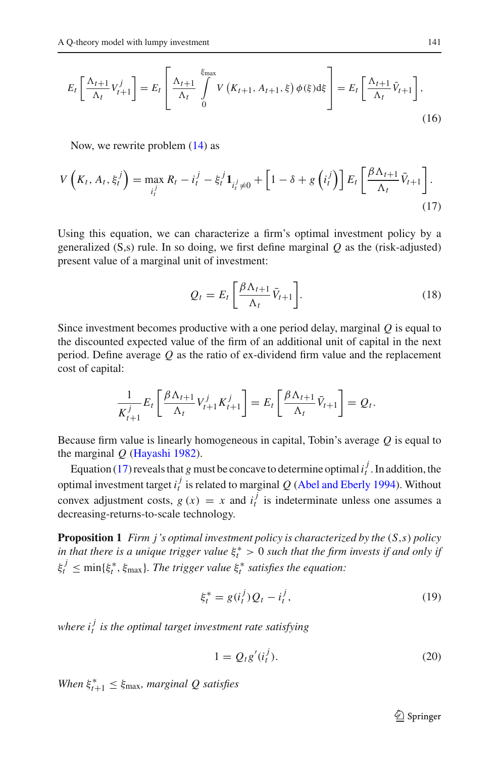$$
E_t\left[\frac{\Lambda_{t+1}}{\Lambda_t}V_{t+1}^j\right] = E_t\left[\frac{\Lambda_{t+1}}{\Lambda_t}\int\limits_0^{\xi_{\text{max}}} V\left(K_{t+1}, A_{t+1}, \xi\right)\phi(\xi)\mathrm{d}\xi\right] = E_t\left[\frac{\Lambda_{t+1}}{\Lambda_t}\bar{V}_{t+1}\right],\tag{16}
$$

Now, we rewrite problem [\(14\)](#page-7-2) as

<span id="page-8-0"></span>
$$
V\left(K_t, A_t, \xi_t^j\right) = \max_{i_t^j} R_t - i_t^j - \xi_t^j \mathbf{1}_{i_t^j \neq 0} + \left[1 - \delta + g\left(i_t^j\right)\right] E_t \left[\frac{\beta \Lambda_{t+1}}{\Lambda_t} \bar{V}_{t+1}\right].
$$
\n(17)

Using this equation, we can characterize a firm's optimal investment policy by a generalized  $(S,s)$  rule. In so doing, we first define marginal  $Q$  as the (risk-adjusted) present value of a marginal unit of investment:

$$
Q_t = E_t \left[ \frac{\beta \Lambda_{t+1}}{\Lambda_t} \bar{V}_{t+1} \right].
$$
 (18)

<span id="page-8-3"></span>Since investment becomes productive with a one period delay, marginal *Q* is equal to the discounted expected value of the firm of an additional unit of capital in the next period. Define average *Q* as the ratio of ex-dividend firm value and the replacement cost of capital:

$$
\frac{1}{K_{t+1}^j} E_t \left[ \frac{\beta \Lambda_{t+1}}{\Lambda_t} V_{t+1}^j K_{t+1}^j \right] = E_t \left[ \frac{\beta \Lambda_{t+1}}{\Lambda_t} \bar{V}_{t+1} \right] = Q_t.
$$

Because firm value is linearly homogeneous in capital, Tobin's average *Q* is equal to the marginal *Q* [\(Hayashi 1982](#page-25-7)).

Equation [\(17\)](#page-8-0) reveals that *g* must be concave to determine optimal  $i_t^j$ . In addition, the optimal investment target  $i_t^j$  is related to marginal  $Q$  [\(Abel and Eberly 1994\)](#page-25-12). Without convex adjustment costs,  $g(x) = x$  and  $i_t^j$  is indeterminate unless one assumes a decreasing-returns-to-scale technology.

<span id="page-8-4"></span>**Proposition 1** *Firm j's optimal investment policy is characterized by the* (*S*,*s*) *policy in that there is a unique trigger value*  $\xi_t^* > 0$  *such that the firm invests if and only if*  $\xi_t^j \leq \min\{\xi_t^*, \xi_{\text{max}}\}$ . The trigger value  $\xi_t^*$  satisfies the equation:

$$
\xi_t^* = g(i_t^j) Q_t - i_t^j,\tag{19}
$$

<span id="page-8-1"></span>*where i <sup>j</sup> <sup>t</sup> is the optimal target investment rate satisfying*

$$
1 = Q_t g'(i_t^j). \tag{20}
$$

<span id="page-8-2"></span>*When*  $\xi_{t+1}^* \leq \xi_{\text{max}}$ *, marginal Q satisfies* 

 $\mathcal{D}$  Springer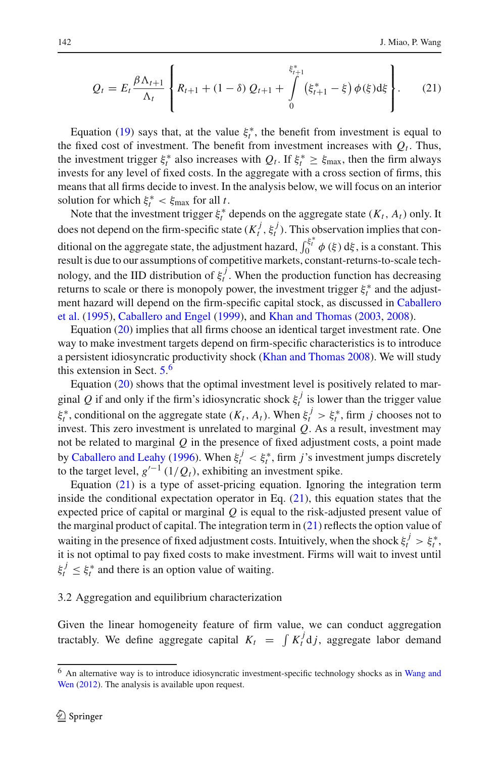$$
Q_{t} = E_{t} \frac{\beta \Lambda_{t+1}}{\Lambda_{t}} \left\{ R_{t+1} + (1 - \delta) Q_{t+1} + \int_{0}^{\xi_{t+1}^{*}} (\xi_{t+1}^{*} - \xi) \phi(\xi) d\xi \right\}.
$$
 (21)

<span id="page-9-1"></span>Equation [\(19\)](#page-8-1) says that, at the value  $\xi_t^*$ , the benefit from investment is equal to the fixed cost of investment. The benefit from investment increases with  $Q_t$ . Thus, the investment trigger  $\xi_t^*$  also increases with  $Q_t$ . If  $\xi_t^* \ge \xi_{\text{max}}$ , then the firm always invests for any level of fixed costs. In the aggregate with a cross section of firms, this means that all firms decide to invest. In the analysis below, we will focus on an interior solution for which  $\xi_t^* < \xi_{\text{max}}$  for all *t*.

Note that the investment trigger  $\xi_t^*$  depends on the aggregate state  $(K_t, A_t)$  only. It does not depend on the firm-specific state  $(K_t^j, \xi_t^j)$ . This observation implies that conditional on the aggregate state, the adjustment hazard,  $\int_0^{\xi_t^*} \phi(\xi) d\xi$ , is a constant. This result is due to our assumptions of competitive markets, constant-returns-to-scale technology, and the IID distribution of  $\xi_t^j$ . When the production function has decreasing returns to scale or there is monopoly power, the investment trigger  $\xi_t^*$  and the adjustmen[t](#page-25-15) [hazard](#page-25-15) [will](#page-25-15) [depend](#page-25-15) [on](#page-25-15) [the](#page-25-15) [firm-specific](#page-25-15) [capital](#page-25-15) [stock,](#page-25-15) [as](#page-25-15) [discussed](#page-25-15) [in](#page-25-15) Caballero et al. [\(1995\)](#page-25-15), [Caballero and Engel](#page-25-3) [\(1999](#page-25-3)), and [Khan and Thomas](#page-25-4) [\(2003](#page-25-4), [2008](#page-25-5)).

Equation [\(20\)](#page-8-2) implies that all firms choose an identical target investment rate. One way to make investment targets depend on firm-specific characteristics is to introduce a persistent idiosyncratic productivity shock [\(Khan and Thomas 2008](#page-25-5)). We will study this extension in Sect. [5.](#page-15-0) [6](#page-9-0)

Equation [\(20\)](#page-8-2) shows that the optimal investment level is positively related to marginal *Q* if and only if the firm's idiosyncratic shock  $\xi_t^j$  is lower than the trigger value  $\xi_t^*$ , conditional on the aggregate state  $(K_t, A_t)$ . When  $\xi_t^j > \xi_t^*$ , firm *j* chooses not to invest. This zero investment is unrelated to marginal *Q*. As a result, investment may not be related to marginal *Q* in the presence of fixed adjustment costs, a point made by [Caballero and Leahy](#page-25-26) [\(1996](#page-25-26)). When  $\xi_t^j < \xi_t^*$ , firm *j*'s investment jumps discretely to the target level,  $g'^{-1}(1/Q_t)$ , exhibiting an investment spike.

Equation  $(21)$  is a type of asset-pricing equation. Ignoring the integration term inside the conditional expectation operator in Eq.  $(21)$ , this equation states that the expected price of capital or marginal *Q* is equal to the risk-adjusted present value of the marginal product of capital. The integration term in  $(21)$  reflects the option value of waiting in the presence of fixed adjustment costs. Intuitively, when the shock  $\xi_t^j > \xi_t^*$ , it is not optimal to pay fixed costs to make investment. Firms will wait to invest until  $\xi_t^j \leq \xi_t^*$  and there is an option value of waiting.

# <span id="page-9-2"></span>3.2 Aggregation and equilibrium characterization

Given the linear homogeneity feature of firm value, we can conduct aggregation tractably. We define aggregate capital  $K_t = \int K_t^j \, \mathrm{d}j$ , aggregate labor demand

<span id="page-9-0"></span><sup>6</sup> A[n](#page-26-3) [alternative](#page-26-3) [way](#page-26-3) [is](#page-26-3) [to](#page-26-3) [introduce](#page-26-3) [idiosyncratic](#page-26-3) [investment-specific](#page-26-3) [technology](#page-26-3) [shocks](#page-26-3) [as](#page-26-3) [in](#page-26-3) Wang and Wen [\(2012\)](#page-26-3). The analysis is available upon request.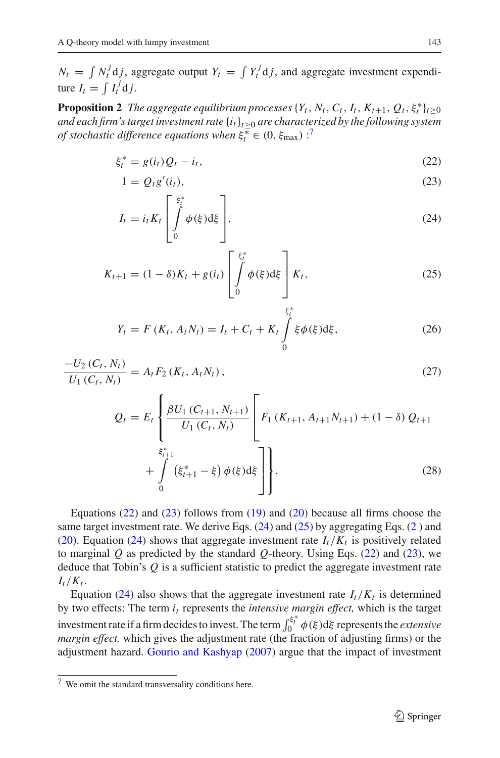$N_t = \int N_t^j \, \mathrm{d}j$ , aggregate output  $Y_t = \int Y_t^j \, \mathrm{d}j$ , and aggregate investment expenditure  $I_t = \int I_t^j \mathrm{d} j$ .

<span id="page-10-2"></span><span id="page-10-1"></span>**Proposition 2** *The aggregate equilibrium processes*  $\{Y_t, N_t, C_t, I_t, K_{t+1}, Q_t, \xi_t^*\}_{t\geq0}$ *and each firm's target investment rate* {*it*}*t*≥<sup>0</sup> *are characterized by the following system of stochastic difference equations when*  $\xi_t^* \in (0, \xi_{\text{max}})$ :<sup>[7](#page-10-0)</sup>

$$
\xi_t^* = g(i_t)Q_t - i_t,\tag{22}
$$

$$
1 = Q_t g'(i_t),\tag{23}
$$

$$
I_t = i_t K_t \left[ \int_0^{\xi_t^*} \phi(\xi) d\xi \right],
$$
\n(24)

$$
K_{t+1} = (1 - \delta)K_t + g(i_t) \left[ \int_0^{\xi_t^*} \phi(\xi) d\xi \right] K_t,
$$
 (25)

$$
Y_t = F(K_t, A_t N_t) = I_t + C_t + K_t \int_0^{\xi_t^*} \xi \phi(\xi) d\xi, \qquad (26)
$$

$$
\frac{-U_2(C_t, N_t)}{U_1(C_t, N_t)} = A_t F_2(K_t, A_t N_t), \qquad (27)
$$

$$
Q_{t} = E_{t} \left\{ \frac{\beta U_{1} (C_{t+1}, N_{t+1})}{U_{1} (C_{t}, N_{t})} \left[ F_{1} (K_{t+1}, A_{t+1} N_{t+1}) + (1 - \delta) Q_{t+1} \right. \right. \\ \left. + \int_{0}^{\xi_{t+1}^{*}} (\xi_{t+1}^{*} - \xi) \phi(\xi) d\xi \right] \right\}.
$$
 (28)

Equations [\(22\)](#page-10-1) and [\(23\)](#page-10-1) follows from [\(19\)](#page-8-1) and [\(20\)](#page-8-2) because all firms choose the same target investment rate. We derive Eqs.  $(24)$  and  $(25)$  by aggregating Eqs.  $(2)$  $(2)$  and [\(20\)](#page-8-2). Equation [\(24\)](#page-10-1) shows that aggregate investment rate  $I_t/K_t$  is positively related to marginal *Q* as predicted by the standard *Q*-theory. Using Eqs. [\(22\)](#page-10-1) and [\(23\)](#page-10-1), we deduce that Tobin's *Q* is a sufficient statistic to predict the aggregate investment rate  $I_t/K_t$ .

Equation [\(24\)](#page-10-1) also shows that the aggregate investment rate  $I_t/K_t$  is determined by two effects: The term  $i_t$  represents the *intensive margin effect*, which is the target investment rate if a firm decides to invest. The term  $\int_0^{\xi_t^*} \phi(\xi) d\xi$  represents the *extensive margin effect,* which gives the adjustment rate (the fraction of adjusting firms) or the adjustment hazard. [Gourio and Kashyap](#page-25-27) [\(2007](#page-25-27)) argue that the impact of investment

<span id="page-10-0"></span><sup>7</sup> We omit the standard transversality conditions here.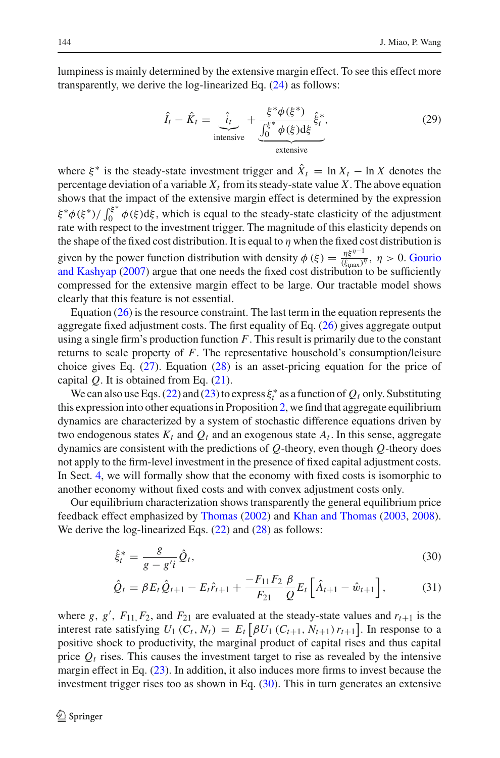<span id="page-11-1"></span>lumpiness is mainly determined by the extensive margin effect. To see this effect more transparently, we derive the log-linearized Eq. [\(24\)](#page-10-1) as follows:

$$
\hat{I}_t - \hat{K}_t = \underbrace{\hat{i}_t}_{\text{intensive}} + \underbrace{\frac{\xi^* \phi(\xi^*)}{\int_0^{\xi^*} \phi(\xi) d\xi} \hat{\xi}_t^*}_{\text{extensive}},\tag{29}
$$

where  $\xi^*$  is the steady-state investment trigger and  $\hat{X}_t = \ln X_t - \ln X$  denotes the percentage deviation of a variable  $X_t$  from its steady-state value X. The above equation shows that the impact of the extensive margin effect is determined by the expression  $\xi^* \phi(\xi^*) / \int_0^{\xi^*} \phi(\xi) d\xi$ , which is equal to the steady-state elasticity of the adjustment rate with respect to the investment trigger. The magnitude of this elasticity depends on the shape of the fixed cost distribution. It is equal to  $\eta$  when the fixed cost distribution is given by the [power](#page-25-27) [function](#page-25-27) [distribution](#page-25-27) [with](#page-25-27) [density](#page-25-27)  $\phi(\xi) = \frac{\eta \xi^{\eta-1}}{(\xi_{\text{max}})^{\eta}}, \eta > 0$ . Gourio and Kashyap [\(2007](#page-25-27)) argue that one needs the fixed cost distribution to be sufficiently compressed for the extensive margin effect to be large. Our tractable model shows clearly that this feature is not essential.

Equation [\(26\)](#page-10-1) is the resource constraint. The last term in the equation represents the aggregate fixed adjustment costs. The first equality of Eq. [\(26\)](#page-10-1) gives aggregate output using a single firm's production function *F*. This result is primarily due to the constant returns to scale property of *F*. The representative household's consumption/leisure choice gives Eq. [\(27\)](#page-10-1). Equation [\(28\)](#page-10-1) is an asset-pricing equation for the price of capital *Q*. It is obtained from Eq. [\(21\)](#page-9-1).

We can also use Eqs. [\(22\)](#page-10-1) and [\(23\)](#page-10-1) to express  $\xi_t^*$  as a function of  $Q_t$  only. Substituting this expression into other equations in Proposition [2,](#page-10-2) we find that aggregate equilibrium dynamics are characterized by a system of stochastic difference equations driven by two endogenous states  $K_t$  and  $Q_t$  and an exogenous state  $A_t$ . In this sense, aggregate dynamics are consistent with the predictions of *Q*-theory, even though *Q*-theory does not apply to the firm-level investment in the presence of fixed capital adjustment costs. In Sect. [4,](#page-13-0) we will formally show that the economy with fixed costs is isomorphic to another economy without fixed costs and with convex adjustment costs only.

<span id="page-11-0"></span>Our equilibrium characterization shows transparently the general equilibrium price feedback effect emphasized by [Thomas](#page-26-1) [\(2002\)](#page-26-1) and [Khan and Thomas](#page-25-4) [\(2003](#page-25-4), [2008](#page-25-5)). We derive the log-linearized Eqs.  $(22)$  and  $(28)$  as follows:

$$
\hat{\xi}_t^* = \frac{g}{g - g'i} \hat{Q}_t,\tag{30}
$$

$$
\hat{Q}_t = \beta E_t \hat{Q}_{t+1} - E_t \hat{r}_{t+1} + \frac{-F_{11} F_2}{F_{21}} \frac{\beta}{Q} E_t \left[ \hat{A}_{t+1} - \hat{w}_{t+1} \right],\tag{31}
$$

where *g*, *g'*,  $F_{11}$ ,  $F_2$ , and  $F_{21}$  are evaluated at the steady-state values and  $r_{t+1}$  is the interest rate satisfying  $U_1(C_t, N_t) = E_t [\beta U_1(C_{t+1}, N_{t+1}) r_{t+1}]$ . In response to a positive shock to productivity, the marginal product of capital rises and thus capital price  $Q_t$  rises. This causes the investment target to rise as revealed by the intensive margin effect in Eq. [\(23\)](#page-10-1). In addition, it also induces more firms to invest because the investment trigger rises too as shown in Eq. [\(30\)](#page-11-0). This in turn generates an extensive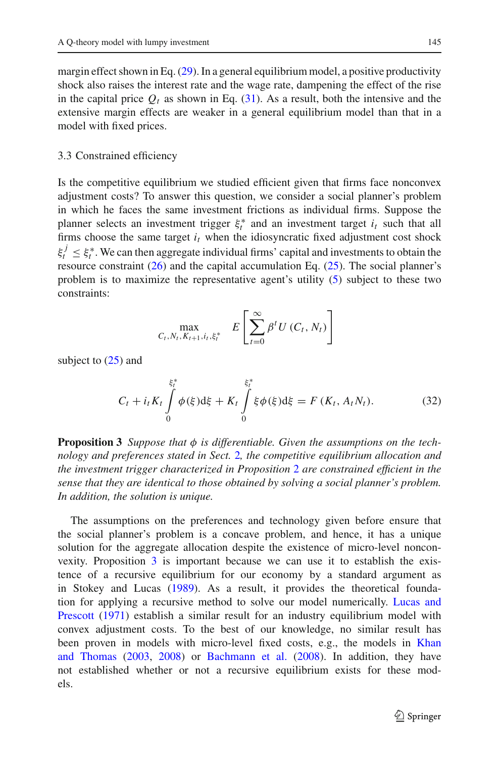margin effect shown in Eq.  $(29)$ . In a general equilibrium model, a positive productivity shock also raises the interest rate and the wage rate, dampening the effect of the rise in the capital price  $Q_t$  as shown in Eq. [\(31\)](#page-11-0). As a result, both the intensive and the extensive margin effects are weaker in a general equilibrium model than that in a model with fixed prices.

#### 3.3 Constrained efficiency

Is the competitive equilibrium we studied efficient given that firms face nonconvex adjustment costs? To answer this question, we consider a social planner's problem in which he faces the same investment frictions as individual firms. Suppose the planner selects an investment trigger  $\xi_t^*$  and an investment target  $i_t$  such that all firms choose the same target  $i_t$  when the idiosyncratic fixed adjustment cost shock  $\xi_t^j \leq \xi_t^*$ . We can then aggregate individual firms' capital and investments to obtain the resource constraint  $(26)$  and the capital accumulation Eq.  $(25)$ . The social planner's problem is to maximize the representative agent's utility [\(5\)](#page-5-2) subject to these two constraints:

$$
\max_{C_t, N_t, K_{t+1}, i_t, \xi_t^*} E\left[\sum_{t=0}^{\infty} \beta^t U(C_t, N_t)\right]
$$

<span id="page-12-1"></span>subject to [\(25\)](#page-10-1) and

$$
C_t + i_t K_t \int\limits_0^{\xi_t^*} \phi(\xi) d\xi + K_t \int\limits_0^{\xi_t^*} \xi \phi(\xi) d\xi = F(K_t, A_t N_t).
$$
 (32)

<span id="page-12-0"></span>**Proposition 3** *Suppose that*  $\phi$  *is differentiable. Given the assumptions on the technology and preferences stated in Sect.* [2](#page-4-0)*, the competitive equilibrium allocation and the investment trigger characterized in Proposition* [2](#page-10-2) *are constrained efficient in the sense that they are identical to those obtained by solving a social planner's problem. In addition, the solution is unique.*

The assumptions on the preferences and technology given before ensure that the social planner's problem is a concave problem, and hence, it has a unique solution for the aggregate allocation despite the existence of micro-level nonconvexity. Proposition [3](#page-12-0) is important because we can use it to establish the existence of a recursive equilibrium for our economy by a standard argument as in Stokey and Lucas [\(1989\)](#page-26-8). As a result, it provides the theoretical foundation for [applying](#page-26-9) [a](#page-26-9) [recursive](#page-26-9) [method](#page-26-9) [to](#page-26-9) [solve](#page-26-9) [our](#page-26-9) [model](#page-26-9) [numerically.](#page-26-9) Lucas and Prescott [\(1971](#page-26-9)) establish a similar result for an industry equilibrium model with convex adjustment costs. To the best of our knowledge, no similar result has been proven [in](#page-25-4) [models](#page-25-4) [with](#page-25-4) [micro-level](#page-25-4) [fixed](#page-25-4) [costs,](#page-25-4) [e.g.,](#page-25-4) [the](#page-25-4) [models](#page-25-4) [in](#page-25-4) Khan and Thomas [\(2003](#page-25-4), [2008](#page-25-5)) or [Bachmann et al.](#page-25-28) [\(2008](#page-25-28)). In addition, they have not established whether or not a recursive equilibrium exists for these models.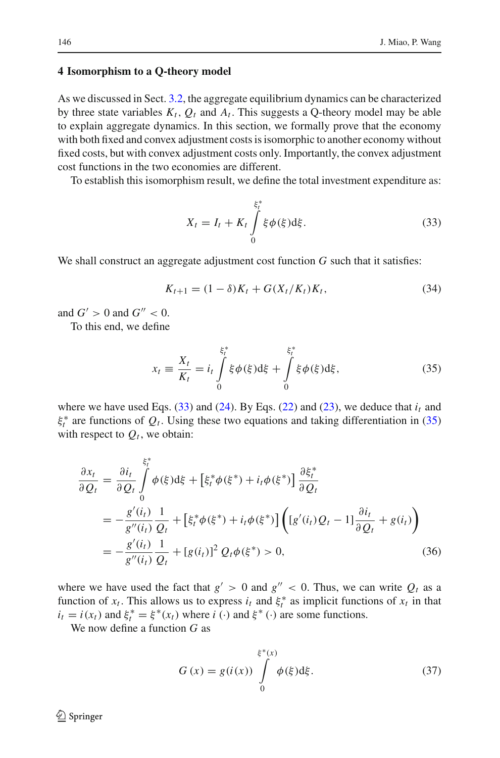#### <span id="page-13-0"></span>**4 Isomorphism to a Q-theory model**

As we discussed in Sect. [3.2,](#page-9-2) the aggregate equilibrium dynamics can be characterized by three state variables  $K_t$ ,  $Q_t$  and  $A_t$ . This suggests a Q-theory model may be able to explain aggregate dynamics. In this section, we formally prove that the economy with both fixed and convex adjustment costs is isomorphic to another economy without fixed costs, but with convex adjustment costs only. Importantly, the convex adjustment cost functions in the two economies are different.

<span id="page-13-1"></span>To establish this isomorphism result, we define the total investment expenditure as:

$$
X_t = I_t + K_t \int\limits_0^{\xi_t^*} \xi \phi(\xi) d\xi.
$$
 (33)

We shall construct an aggregate adjustment cost function *G* such that it satisfies:

$$
K_{t+1} = (1 - \delta)K_t + G(X_t/K_t)K_t,
$$
\n(34)

<span id="page-13-4"></span>and  $G' > 0$  and  $G'' < 0$ .

<span id="page-13-2"></span>To this end, we define

$$
x_{t} \equiv \frac{X_{t}}{K_{t}} = i_{t} \int_{0}^{\xi_{t}^{*}} \xi \phi(\xi) d\xi + \int_{0}^{\xi_{t}^{*}} \xi \phi(\xi) d\xi, \qquad (35)
$$

where we have used Eqs.  $(33)$  and  $(24)$ . By Eqs.  $(22)$  and  $(23)$ , we deduce that  $i_t$  and  $\xi_t^*$  are functions of  $Q_t$ . Using these two equations and taking differentiation in [\(35\)](#page-13-2) with respect to  $Q_t$ , we obtain:

<span id="page-13-5"></span>
$$
\frac{\partial x_t}{\partial Q_t} = \frac{\partial i_t}{\partial Q_t} \int_0^{\xi_t^*} \phi(\xi) d\xi + \left[\xi_t^* \phi(\xi^*) + i_t \phi(\xi^*)\right] \frac{\partial \xi_t^*}{\partial Q_t} \n= -\frac{g'(i_t)}{g''(i_t)} \frac{1}{Q_t} + \left[\xi_t^* \phi(\xi^*) + i_t \phi(\xi^*)\right] \left([g'(i_t)Q_t - 1] \frac{\partial i_t}{\partial Q_t} + g(i_t)\right) \n= -\frac{g'(i_t)}{g''(i_t)} \frac{1}{Q_t} + [g(i_t)]^2 Q_t \phi(\xi^*) > 0,
$$
\n(36)

where we have used the fact that  $g' > 0$  and  $g'' < 0$ . Thus, we can write  $Q_t$  as a function of  $x_t$ . This allows us to express  $i_t$  and  $\xi_t^*$  as implicit functions of  $x_t$  in that  $i_t = i(x_t)$  and  $\xi_t^* = \xi^*(x_t)$  where  $i(\cdot)$  and  $\xi^*$  (·) are some functions.

<span id="page-13-3"></span>We now define a function *G* as

$$
G(x) = g(i(x)) \int_{0}^{\xi^*(x)} \phi(\xi) d\xi.
$$
 (37)

 $\bigcircled{2}$  Springer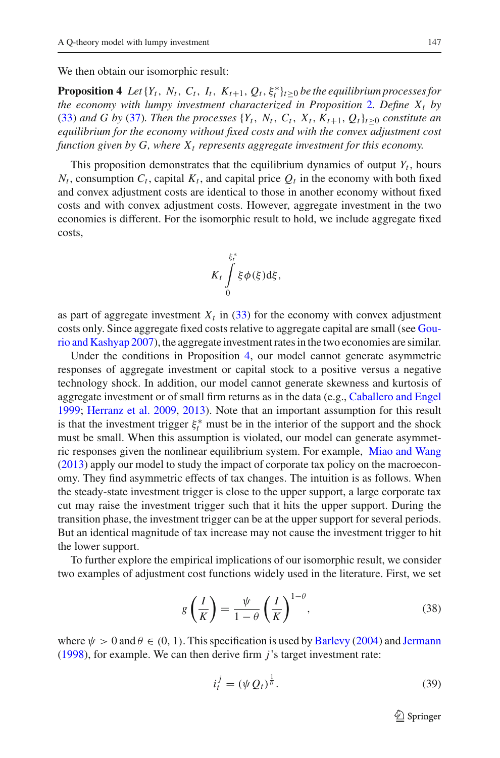<span id="page-14-0"></span>We then obtain our isomorphic result:

**Proposition 4** *Let*  $\{Y_t, N_t, C_t, I_t, K_{t+1}, Q_t, \xi_t^*\}_{t\geq 0}$  *be the equilibrium processes for the economy with lumpy investment characterized in Proposition* [2](#page-10-2)*. Define*  $X_t$  *by* [\(33\)](#page-13-1) *and G by* [\(37\)](#page-13-3)*. Then the processes*  $\{Y_t, N_t, C_t, X_t, K_{t+1}, Q_t\}_{t>0}$  *constitute an equilibrium for the economy without fixed costs and with the convex adjustment cost function given by G, where*  $X_t$  *represents aggregate investment for this economy.* 

This proposition demonstrates that the equilibrium dynamics of output  $Y_t$ , hours  $N_t$ , consumption  $C_t$ , capital  $K_t$ , and capital price  $Q_t$  in the economy with both fixed and convex adjustment costs are identical to those in another economy without fixed costs and with convex adjustment costs. However, aggregate investment in the two economies is different. For the isomorphic result to hold, we include aggregate fixed costs,

$$
K_t\int\limits_{0}^{\xi_t^*}\xi\phi(\xi)\mathrm{d}\xi,
$$

as part of aggregate investment  $X_t$  in [\(33\)](#page-13-1) for the economy with convex adjustment costs only. Sinc[e](#page-25-27) [aggregate](#page-25-27) [fixed](#page-25-27) [costs](#page-25-27) [relative](#page-25-27) [to](#page-25-27) [aggregate](#page-25-27) [capital](#page-25-27) [are](#page-25-27) [small](#page-25-27) [\(see](#page-25-27) Gourio and Kashyap [2007](#page-25-27)), the aggregate investment rates in the two economies are similar.

Under the conditions in Proposition [4,](#page-14-0) our model cannot generate asymmetric responses of aggregate investment or capital stock to a positive versus a negative technology shock. In addition, our model cannot generate skewness and kurtosis of aggregate investment or of small firm returns as in the data (e.g., [Caballero and Engel](#page-25-3) [1999;](#page-25-3) [Herranz et al. 2009](#page-25-29), [2013\)](#page-25-30). Note that an important assumption for this result is that the investment trigger  $\xi_t^*$  must be in the interior of the support and the shock must be small. When this assumption is violated, our model can generate asymmetric responses given the nonlinear equilibrium system. For example, [Miao and Wang](#page-26-10) [\(2013\)](#page-26-10) apply our model to study the impact of corporate tax policy on the macroeconomy. They find asymmetric effects of tax changes. The intuition is as follows. When the steady-state investment trigger is close to the upper support, a large corporate tax cut may raise the investment trigger such that it hits the upper support. During the transition phase, the investment trigger can be at the upper support for several periods. But an identical magnitude of tax increase may not cause the investment trigger to hit the lower support.

To further explore the empirical implications of our isomorphic result, we consider two examples of adjustment cost functions widely used in the literature. First, we set

$$
g\left(\frac{I}{K}\right) = \frac{\psi}{1-\theta} \left(\frac{I}{K}\right)^{1-\theta},\tag{38}
$$

<span id="page-14-1"></span>where  $\psi > 0$  and  $\theta \in (0, 1)$ . This specification is used by [Barlevy](#page-25-11) [\(2004](#page-25-11)) and [Jermann](#page-25-8) [\(1998\)](#page-25-8), for example. We can then derive firm *j*'s target investment rate:

<span id="page-14-2"></span>
$$
i_t^j = (\psi Q_t)^{\frac{1}{\theta}}.
$$
\n(39)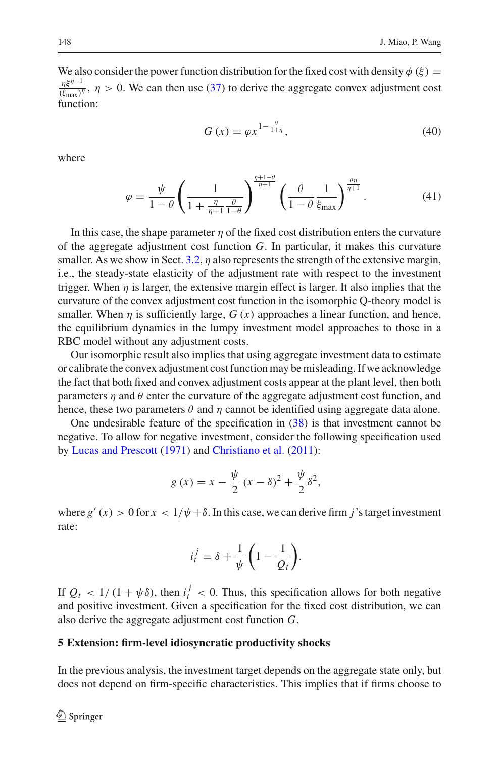We also consider the power function distribution for the fixed cost with density  $\phi(\xi)$  =  $\eta \xi^{\eta-1}$  $\frac{\eta s}{(\xi_{\text{max}})^{\eta}}$ ,  $\eta > 0$ . We can then use [\(37\)](#page-13-3) to derive the aggregate convex adjustment cost function:

$$
G\left(x\right) = \varphi x^{1 - \frac{\theta}{1 + \eta}},\tag{40}
$$

where

$$
\varphi = \frac{\psi}{1-\theta} \left( \frac{1}{1+\frac{\eta}{\eta+1} \frac{\theta}{1-\theta}} \right)^{\frac{\eta+1-\theta}{\eta+1}} \left( \frac{\theta}{1-\theta} \frac{1}{\xi_{\text{max}}} \right)^{\frac{\theta\eta}{\eta+1}}.
$$
(41)

In this case, the shape parameter  $\eta$  of the fixed cost distribution enters the curvature of the aggregate adjustment cost function *G*. In particular, it makes this curvature smaller. As we show in Sect. [3.2,](#page-9-2)  $\eta$  also represents the strength of the extensive margin, i.e., the steady-state elasticity of the adjustment rate with respect to the investment trigger. When  $\eta$  is larger, the extensive margin effect is larger. It also implies that the curvature of the convex adjustment cost function in the isomorphic Q-theory model is smaller. When  $\eta$  is sufficiently large,  $G(x)$  approaches a linear function, and hence, the equilibrium dynamics in the lumpy investment model approaches to those in a RBC model without any adjustment costs.

Our isomorphic result also implies that using aggregate investment data to estimate or calibrate the convex adjustment cost function may be misleading. If we acknowledge the fact that both fixed and convex adjustment costs appear at the plant level, then both parameters  $\eta$  and  $\theta$  enter the curvature of the aggregate adjustment cost function, and hence, these two parameters  $\theta$  and  $\eta$  cannot be identified using aggregate data alone.

One undesirable feature of the specification in [\(38\)](#page-14-1) is that investment cannot be negative. To allow for negative investment, consider the following specification used by [Lucas and Prescott](#page-26-9) [\(1971](#page-26-9)) and [Christiano et al.](#page-25-31) [\(2011\)](#page-25-31):

$$
g(x) = x - \frac{\psi}{2} (x - \delta)^2 + \frac{\psi}{2} \delta^2
$$

where  $g'(x) > 0$  for  $x < 1/\psi + \delta$ . In this case, we can derive firm *j*'s target investment rate:

$$
i_t^j = \delta + \frac{1}{\psi} \left( 1 - \frac{1}{Q_t} \right).
$$

If  $Q_t < 1/(1 + \psi \delta)$ , then  $i_t^j < 0$ . Thus, this specification allows for both negative and positive investment. Given a specification for the fixed cost distribution, we can also derive the aggregate adjustment cost function *G*.

#### <span id="page-15-0"></span>**5 Extension: firm-level idiosyncratic productivity shocks**

In the previous analysis, the investment target depends on the aggregate state only, but does not depend on firm-specific characteristics. This implies that if firms choose to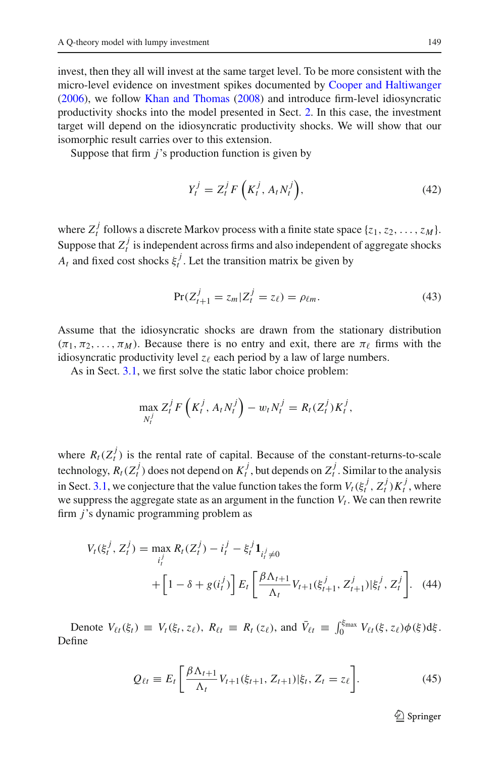invest, then they all will invest at the same target level. To be more consistent with the micro-level evidence on investment spikes documented by [Cooper and Haltiwanger](#page-25-2) [\(2006\)](#page-25-2), we follow [Khan and Thomas](#page-25-5) [\(2008\)](#page-25-5) and introduce firm-level idiosyncratic productivity shocks into the model presented in Sect. [2.](#page-4-0) In this case, the investment target will depend on the idiosyncratic productivity shocks. We will show that our isomorphic result carries over to this extension.

Suppose that firm *j*'s production function is given by

$$
Y_t^j = Z_t^j F\left(K_t^j, A_t N_t^j\right),\tag{42}
$$

where  $Z_t^j$  follows a discrete Markov process with a finite state space  $\{z_1, z_2, \ldots, z_M\}$ . Suppose that  $Z_t^j$  is independent across firms and also independent of aggregate shocks *A<sub>t</sub>* and fixed cost shocks  $\xi_t^j$ . Let the transition matrix be given by

$$
Pr(Z_{t+1}^j = z_m | Z_t^j = z_\ell) = \rho_{\ell m}.
$$
\n(43)

Assume that the idiosyncratic shocks are drawn from the stationary distribution  $(\pi_1, \pi_2, \ldots, \pi_M)$ . Because there is no entry and exit, there are  $\pi_\ell$  firms with the idiosyncratic productivity level  $z_\ell$  each period by a law of large numbers.

As in Sect. [3.1,](#page-6-2) we first solve the static labor choice problem:

$$
\max_{N_t^j} Z_t^j F\left(K_t^j, A_t N_t^j\right) - w_t N_t^j = R_t(Z_t^j) K_t^j,
$$

where  $R_t(Z_t^j)$  is the rental rate of capital. Because of the constant-returns-to-scale technology,  $R_t(Z_t^j)$  does not depend on  $K_t^j$ , but depends on  $Z_t^j$ . Similar to the analysis in Sect. [3.1,](#page-6-2) we conjecture that the value function takes the form  $V_t(\xi_t^j, Z_t^j)K_t^j$ , where we suppress the aggregate state as an argument in the function  $V_t$ . We can then rewrite firm *j*'s dynamic programming problem as

<span id="page-16-0"></span>
$$
V_t(\xi_t^j, Z_t^j) = \max_{i_t^j} R_t(Z_t^j) - i_t^j - \xi_t^j \mathbf{1}_{i_t^j \neq 0}
$$
  
+ 
$$
\left[1 - \delta + g(i_t^j)\right] E_t \left[\frac{\beta \Lambda_{t+1}}{\Lambda_t} V_{t+1}(\xi_{t+1}^j, Z_{t+1}^j) | \xi_t^j, Z_t^j\right].
$$
 (44)

Denote  $V_{\ell t}(\xi_t) \equiv V_t(\xi_t, z_\ell), R_{\ell t} \equiv R_t(z_\ell)$ , and  $\bar{V}_{\ell t} \equiv \int_0^{\xi_{\text{max}}} V_{\ell t}(\xi, z_\ell) \phi(\xi) d\xi$ . Define

$$
Q_{\ell t} \equiv E_t \left[ \frac{\beta \Lambda_{t+1}}{\Lambda_t} V_{t+1}(\xi_{t+1}, Z_{t+1}) | \xi_t, Z_t = z_\ell \right]. \tag{45}
$$

 $\mathcal{D}$  Springer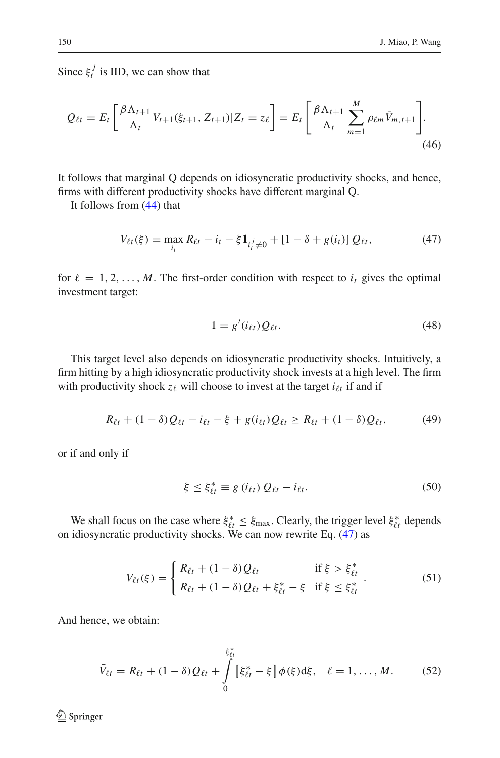Since  $\xi_t^j$  is IID, we can show that

<span id="page-17-1"></span>
$$
Q_{\ell t} = E_t \left[ \frac{\beta \Lambda_{t+1}}{\Lambda_t} V_{t+1}(\xi_{t+1}, Z_{t+1}) | Z_t = z_\ell \right] = E_t \left[ \frac{\beta \Lambda_{t+1}}{\Lambda_t} \sum_{m=1}^M \rho_{\ell m} \bar{V}_{m,t+1} \right].
$$
\n(46)

It follows that marginal Q depends on idiosyncratic productivity shocks, and hence, firms with different productivity shocks have different marginal Q.

<span id="page-17-0"></span>It follows from [\(44\)](#page-16-0) that

$$
V_{\ell t}(\xi) = \max_{i_t} R_{\ell t} - i_t - \xi \mathbf{1}_{i_t^j \neq 0} + [1 - \delta + g(i_t)] Q_{\ell t}, \tag{47}
$$

for  $\ell = 1, 2, ..., M$ . The first-order condition with respect to  $i_t$  gives the optimal investment target:

$$
1 = g'(i_{\ell t}) Q_{\ell t}.
$$
\n<sup>(48)</sup>

This target level also depends on idiosyncratic productivity shocks. Intuitively, a firm hitting by a high idiosyncratic productivity shock invests at a high level. The firm with productivity shock  $z_\ell$  will choose to invest at the target  $i_{\ell t}$  if and if

$$
R_{\ell t} + (1 - \delta)Q_{\ell t} - i_{\ell t} - \xi + g(i_{\ell t})Q_{\ell t} \ge R_{\ell t} + (1 - \delta)Q_{\ell t}, \tag{49}
$$

or if and only if

$$
\xi \leq \xi_{\ell t}^* \equiv g(i_{\ell t}) Q_{\ell t} - i_{\ell t}.
$$
\n
$$
(50)
$$

We shall focus on the case where  $\xi_{\ell t}^* \leq \xi_{\text{max}}$ . Clearly, the trigger level  $\xi_{\ell t}^*$  depends on idiosyncratic productivity shocks. We can now rewrite Eq. [\(47\)](#page-17-0) as

$$
V_{\ell t}(\xi) = \begin{cases} R_{\ell t} + (1 - \delta) Q_{\ell t} & \text{if } \xi > \xi_{\ell t}^* \\ R_{\ell t} + (1 - \delta) Q_{\ell t} + \xi_{\ell t}^* - \xi & \text{if } \xi \le \xi_{\ell t}^* \end{cases} (51)
$$

And hence, we obtain:

$$
\bar{V}_{\ell t} = R_{\ell t} + (1 - \delta) Q_{\ell t} + \int_{0}^{\xi_{\ell t}^{*}} [\xi_{\ell t}^{*} - \xi] \phi(\xi) d\xi, \quad \ell = 1, ..., M.
$$
 (52)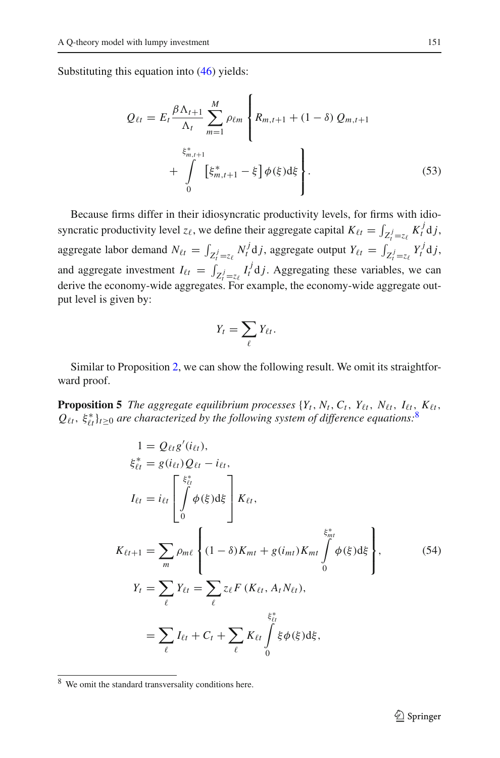<span id="page-18-1"></span>Substituting this equation into [\(46\)](#page-17-1) yields:

$$
Q_{\ell t} = E_t \frac{\beta \Lambda_{t+1}}{\Lambda_t} \sum_{m=1}^{M} \rho_{\ell m} \left\{ R_{m,t+1} + (1 - \delta) Q_{m,t+1} + \int_{0}^{\xi_{m,t+1}^*} [\xi_{m,t+1}^* - \xi] \phi(\xi) d\xi \right\}.
$$
 (53)

Because firms differ in their idiosyncratic productivity levels, for firms with idiosyncratic productivity level  $z_\ell$ , we define their aggregate capital  $K_{\ell t} = \int_{Z_t^j = z_\ell} K_t^j \, \mathrm{d}j$ , aggregate labor demand  $N_{\ell t} = \int_{Z_t^j = z_\ell} N_t^j d_j$ , aggregate output  $Y_{\ell t} = \int_{Z_t^j = z_\ell} Y_t^j d_j$ , and aggregate investment  $I_{\ell t} = \int_{Z_t^j = z_{\ell}} I_t^j \, \mathrm{d}j$ . Aggregating these variables, we can derive the economy-wide aggregates. For example, the economy-wide aggregate output level is given by:

$$
Y_t = \sum_{\ell} Y_{\ell t}.
$$

<span id="page-18-3"></span>Similar to Proposition [2,](#page-10-2) we can show the following result. We omit its straightforward proof.

<span id="page-18-2"></span>**Proposition 5** *The aggregate equilibrium processes*  $\{Y_t, N_t, C_t, Y_{\ell t}, N_{\ell t}, I_{\ell t}, K_{\ell t}, I_{\ell t}\}$  $Q_{\ell t},\, \xi^*_{\ell t} \}_{t \geq 0}$  are characterized by the following system of difference equations:<sup>[8](#page-18-0)</sup>

$$
1 = Q_{\ell t} g'(i_{\ell t}),
$$
  
\n
$$
\xi_{\ell t}^* = g(i_{\ell t}) Q_{\ell t} - i_{\ell t},
$$
  
\n
$$
I_{\ell t} = i_{\ell t} \begin{bmatrix} \xi_{\ell t}^* \\ \int \phi(\xi) d\xi \\ 0 \end{bmatrix} K_{\ell t},
$$
  
\n
$$
K_{\ell t+1} = \sum_m \rho_{m\ell} \left\{ (1 - \delta) K_{m t} + g(i_{m t}) K_{m t} \int_0^{\xi_{m t}^*} \phi(\xi) d\xi \right\},
$$
  
\n
$$
Y_t = \sum_{\ell} Y_{\ell t} = \sum_{\ell} z_{\ell} F (K_{\ell t}, A_t N_{\ell t}),
$$
  
\n
$$
= \sum_{\ell} I_{\ell t} + C_t + \sum_{\ell} K_{\ell t} \int_0^{\xi_{\ell}^*} \xi \phi(\xi) d\xi,
$$
  
\n(54)

<span id="page-18-0"></span><sup>8</sup> We omit the standard transversality conditions here.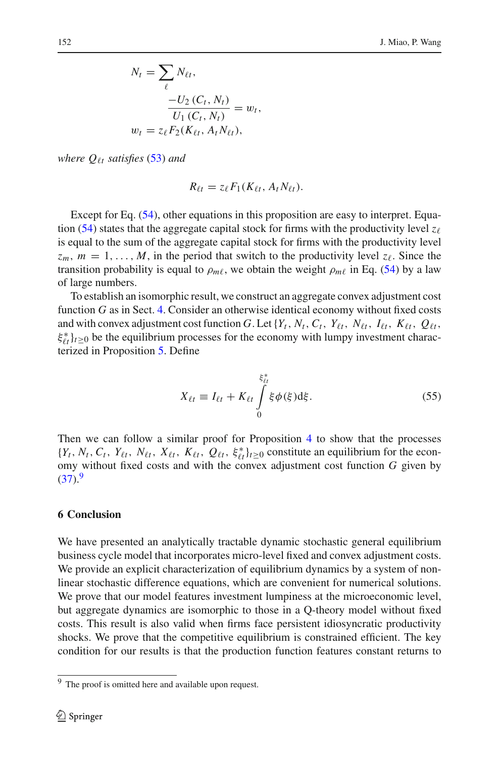$$
N_t = \sum_{\ell} N_{\ell t},
$$
  

$$
\frac{-U_2(C_t, N_t)}{U_1(C_t, N_t)} = w_t,
$$
  

$$
w_t = z_{\ell} F_2(K_{\ell t}, A_t N_{\ell t}),
$$

*where*  $Q_{\ell t}$  *satisfies* [\(53\)](#page-18-1) *and* 

$$
R_{\ell t} = z_{\ell} F_1(K_{\ell t}, A_t N_{\ell t}).
$$

Except for Eq. [\(54\)](#page-18-2), other equations in this proposition are easy to interpret. Equa-tion [\(54\)](#page-18-2) states that the aggregate capital stock for firms with the productivity level  $z_{\ell}$ is equal to the sum of the aggregate capital stock for firms with the productivity level  $z_m$ ,  $m = 1, \ldots, M$ , in the period that switch to the productivity level  $z_\ell$ . Since the transition probability is equal to  $\rho_{m\ell}$ , we obtain the weight  $\rho_{m\ell}$  in Eq. [\(54\)](#page-18-2) by a law of large numbers.

To establish an isomorphic result, we construct an aggregate convex adjustment cost function *G* as in Sect. [4.](#page-13-0) Consider an otherwise identical economy without fixed costs and with convex adjustment cost function G. Let  $\{Y_t, N_t, C_t, Y_{\ell t}, N_{\ell t}, I_{\ell t}, K_{\ell t}, Q_{\ell t}, I_{\ell t}\}$  $\xi_{\ell t}^*$ } $t \geq 0$  be the equilibrium processes for the economy with lumpy investment characterized in Proposition [5.](#page-18-3) Define

$$
X_{\ell t} \equiv I_{\ell t} + K_{\ell t} \int\limits_{0}^{\xi_{\ell t}^{*}} \xi \phi(\xi) d\xi.
$$
 (55)

Then we can follow a similar proof for Proposition [4](#page-14-0) to show that the processes  $\{Y_t, N_t, C_t, Y_{\ell t}, N_{\ell t}, X_{\ell t}, K_{\ell t}, Q_{\ell t}, \xi_{\ell t}^*\}_{t \geq 0}$  constitute an equilibrium for the economy without fixed costs and with the convex adjustment cost function *G* given by  $(37).<sup>9</sup>$  $(37).<sup>9</sup>$  $(37).<sup>9</sup>$  $(37).<sup>9</sup>$ 

#### <span id="page-19-0"></span>**6 Conclusion**

We have presented an analytically tractable dynamic stochastic general equilibrium business cycle model that incorporates micro-level fixed and convex adjustment costs. We provide an explicit characterization of equilibrium dynamics by a system of nonlinear stochastic difference equations, which are convenient for numerical solutions. We prove that our model features investment lumpiness at the microeconomic level, but aggregate dynamics are isomorphic to those in a Q-theory model without fixed costs. This result is also valid when firms face persistent idiosyncratic productivity shocks. We prove that the competitive equilibrium is constrained efficient. The key condition for our results is that the production function features constant returns to

<span id="page-19-1"></span><sup>&</sup>lt;sup>9</sup> The proof is omitted here and available upon request.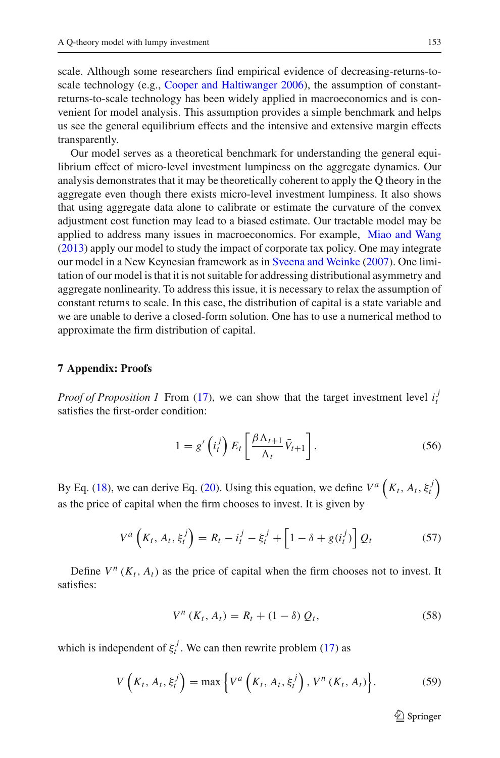scale. Although some researchers find empirical evidence of decreasing-returns-to-scale technology (e.g., [Cooper and Haltiwanger 2006](#page-25-2)), the assumption of constantreturns-to-scale technology has been widely applied in macroeconomics and is convenient for model analysis. This assumption provides a simple benchmark and helps us see the general equilibrium effects and the intensive and extensive margin effects transparently.

Our model serves as a theoretical benchmark for understanding the general equilibrium effect of micro-level investment lumpiness on the aggregate dynamics. Our analysis demonstrates that it may be theoretically coherent to apply the Q theory in the aggregate even though there exists micro-level investment lumpiness. It also shows that using aggregate data alone to calibrate or estimate the curvature of the convex adjustment cost function may lead to a biased estimate. Our tractable model may be applied to address many issues in macroeconomics. For example, [Miao and Wang](#page-26-10) [\(2013\)](#page-26-10) apply our model to study the impact of corporate tax policy. One may integrate our model in a New Keynesian framework as in [Sveena and Weinke](#page-26-4) [\(2007](#page-26-4)). One limitation of our model is that it is not suitable for addressing distributional asymmetry and aggregate nonlinearity. To address this issue, it is necessary to relax the assumption of constant returns to scale. In this case, the distribution of capital is a state variable and we are unable to derive a closed-form solution. One has to use a numerical method to approximate the firm distribution of capital.

#### **7 Appendix: Proofs**

*Proof of Proposition 1* From [\(17\)](#page-8-0), we can show that the target investment level  $i_t^j$ satisfies the first-order condition:

$$
1 = g'\left(i_t^j\right) E_t \left[\frac{\beta \Lambda_{t+1}}{\Lambda_t} \bar{V}_{t+1}\right].
$$
 (56)

By Eq. [\(18\)](#page-8-3), we can derive Eq. [\(20\)](#page-8-2). Using this equation, we define  $V^a \left( K_t, A_t, \xi_t^j \right)$ as the price of capital when the firm chooses to invest. It is given by

$$
V^{a}\left(K_{t}, A_{t}, \xi_{t}^{j}\right) = R_{t} - i_{t}^{j} - \xi_{t}^{j} + \left[1 - \delta + g(i_{t}^{j})\right]Q_{t}
$$
(57)

<span id="page-20-0"></span>Define  $V^n$  ( $K_t$ ,  $A_t$ ) as the price of capital when the firm chooses not to invest. It satisfies:

$$
V^{n}(K_{t}, A_{t}) = R_{t} + (1 - \delta) Q_{t}, \qquad (58)
$$

<span id="page-20-1"></span>which is independent of  $\xi_t^j$ . We can then rewrite problem [\(17\)](#page-8-0) as

$$
V\left(K_t, A_t, \xi_t^j\right) = \max\left\{V^a\left(K_t, A_t, \xi_t^j\right), V^n\left(K_t, A_t\right)\right\}.
$$
 (59)

 $\mathcal{L}$  Springer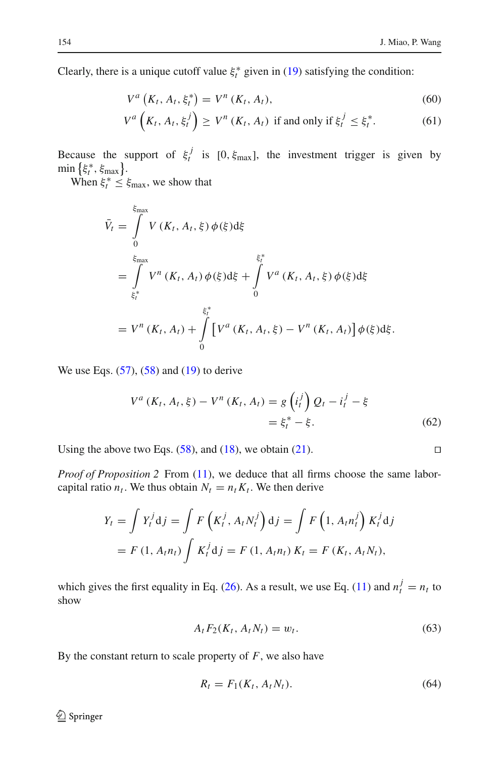Clearly, there is a unique cutoff value  $\xi_t^*$  given in [\(19\)](#page-8-1) satisfying the condition:

$$
V^{a}\left(K_{t}, A_{t}, \xi_{t}^{*}\right) = V^{n}\left(K_{t}, A_{t}\right),\tag{60}
$$

$$
V^{a}\left(K_{t}, A_{t}, \xi_{t}^{j}\right) \geq V^{n}\left(K_{t}, A_{t}\right) \text{ if and only if } \xi_{t}^{j} \leq \xi_{t}^{*}.\tag{61}
$$

Because the support of  $\xi_t^j$  is [0,  $\xi_{\text{max}}$ ], the investment trigger is given by  $\min \left\{ \xi_t^*, \xi_{\max} \right\}$ .

When  $\xi_t^* \leq \xi_{\text{max}}$ , we show that

$$
\bar{V}_t = \int_{0}^{\xi_{\text{max}}} V(K_t, A_t, \xi) \phi(\xi) d\xi
$$
\n
$$
= \int_{\xi_t^*}^{\xi_{\text{max}}} V^n(K_t, A_t) \phi(\xi) d\xi + \int_{0}^{\xi_t^*} V^a(K_t, A_t, \xi) \phi(\xi) d\xi
$$
\n
$$
= V^n(K_t, A_t) + \int_{0}^{\xi_t^*} \left[ V^a(K_t, A_t, \xi) - V^n(K_t, A_t) \right] \phi(\xi) d\xi.
$$

We use Eqs.  $(57)$ ,  $(58)$  and  $(19)$  to derive

$$
V^{a}(K_{t}, A_{t}, \xi) - V^{n}(K_{t}, A_{t}) = g\left(i_{t}^{j}\right)Q_{t} - i_{t}^{j} - \xi
$$
  
=  $\xi_{t}^{*} - \xi$ . (62)

Using the above two Eqs.  $(58)$ , and  $(18)$ , we obtain  $(21)$ .

*Proof of Proposition 2* From [\(11\)](#page-6-3), we deduce that all firms choose the same laborcapital ratio  $n_t$ . We thus obtain  $N_t = n_t K_t$ . We then derive

$$
Y_t = \int Y_t^j \mathrm{d}j = \int F\left(K_t^j, A_t N_t^j\right) \mathrm{d}j = \int F\left(1, A_t n_t^j\right) K_t^j \mathrm{d}j
$$
  
=  $F(1, A_t n_t) \int K_t^j \mathrm{d}j = F(1, A_t n_t) K_t = F(K_t, A_t N_t),$ 

which gives the first equality in Eq. [\(26\)](#page-10-1). As a result, we use Eq. [\(11\)](#page-6-3) and  $n_t^j = n_t$  to show

$$
A_t F_2(K_t, A_t N_t) = w_t. \tag{63}
$$

<span id="page-21-1"></span><span id="page-21-0"></span>By the constant return to scale property of *F*, we also have

$$
R_t = F_1(K_t, A_t N_t). \tag{64}
$$

$$
\square
$$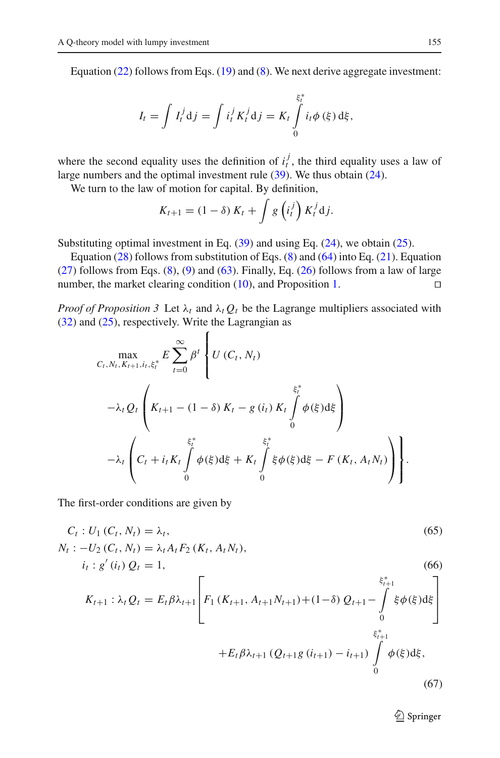Equation [\(22\)](#page-10-1) follows from Eqs. [\(19\)](#page-8-1) and [\(8\)](#page-6-1). We next derive aggregate investment:

$$
I_{t} = \int I_{t}^{j} d j = \int i_{t}^{j} K_{t}^{j} d j = K_{t} \int_{0}^{\xi_{t}^{*}} i_{t} \phi(\xi) d \xi,
$$

where the second equality uses the definition of  $i_t^j$ , the third equality uses a law of large numbers and the optimal investment rule [\(39\)](#page-14-2). We thus obtain [\(24\)](#page-10-1).

We turn to the law of motion for capital. By definition,

$$
K_{t+1} = (1 - \delta) K_t + \int g\left(i_t^j\right) K_t^j \mathrm{d} j.
$$

Substituting optimal investment in Eq.  $(39)$  and using Eq.  $(24)$ , we obtain  $(25)$ .

Equation [\(28\)](#page-10-1) follows from substitution of Eqs.  $(8)$  and  $(64)$  into Eq. [\(21\)](#page-9-1). Equation  $(27)$  follows from Eqs.  $(8)$ ,  $(9)$  and  $(63)$ . Finally, Eq.  $(26)$  follows from a law of large number, the market clearing condition  $(10)$ , and Proposition [1.](#page-8-4)  $\Box$ 

*Proof of Proposition 3* Let  $\lambda_t$  and  $\lambda_t Q_t$  be the Lagrange multipliers associated with [\(32\)](#page-12-1) and [\(25\)](#page-10-1), respectively. Write the Lagrangian as

$$
\begin{split}\n&\max_{C_t, N_t, K_{t+1}, i_t, \xi_t^*} E \sum_{t=0}^{\infty} \beta^t \left\{ U \left( C_t, N_t \right) \right. \\
&\left. - \lambda_t Q_t \left( K_{t+1} - (1 - \delta) K_t - g \left( i_t \right) K_t \int_0^{\xi_t^*} \phi(\xi) d\xi \right) \right. \\
&\left. - \lambda_t \left( C_t + i_t K_t \int_0^{\xi_t^*} \phi(\xi) d\xi + K_t \int_0^{\xi_t^*} \xi \phi(\xi) d\xi - F \left( K_t, A_t N_t \right) \right) \right\}.\n\end{split}
$$

The first-order conditions are given by

<span id="page-22-0"></span>
$$
C_{t}: U_{1}(C_{t}, N_{t}) = \lambda_{t},
$$
\n
$$
N_{t} : -U_{2}(C_{t}, N_{t}) = \lambda_{t} A_{t} F_{2}(K_{t}, A_{t} N_{t}),
$$
\n
$$
i_{t} : g'(i_{t}) Q_{t} = 1,
$$
\n
$$
K_{t+1} : \lambda_{t} Q_{t} = E_{t} \beta \lambda_{t+1} \left[ F_{1}(K_{t+1}, A_{t+1} N_{t+1}) + (1 - \delta) Q_{t+1} - \int_{0}^{\xi_{t+1}^{*}} \xi \phi(\xi) d\xi \right]
$$
\n
$$
+ E_{t} \beta \lambda_{t+1} (Q_{t+1} g(i_{t+1}) - i_{t+1}) \int_{0}^{\xi_{t+1}^{*}} \phi(\xi) d\xi,
$$
\n(67)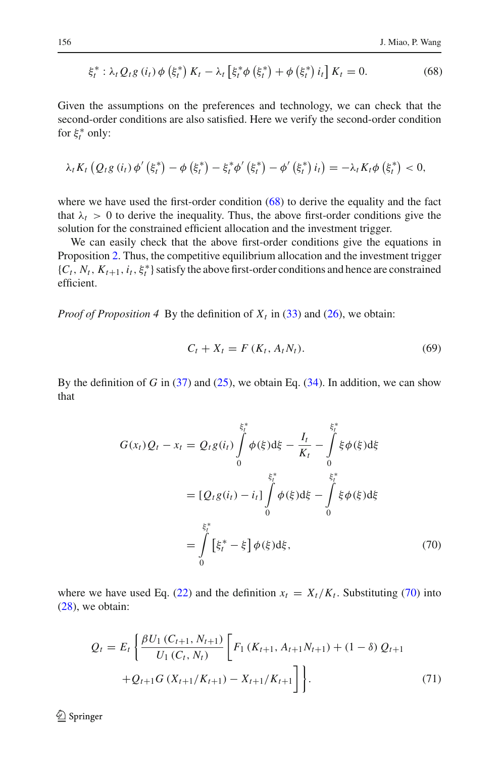$$
\xi_t^* : \lambda_t Q_t g(i_t) \phi(\xi_t^*) K_t - \lambda_t [\xi_t^* \phi(\xi_t^*) + \phi(\xi_t^*) i_t] K_t = 0.
$$
 (68)

Given the assumptions on the preferences and technology, we can check that the second-order conditions are also satisfied. Here we verify the second-order condition for  $\xi_t^*$  only:

$$
\lambda_{t} K_{t} \left( Q_{t} g \left( i_{t} \right) \phi' \left( \xi_{t}^{*} \right) - \phi \left( \xi_{t}^{*} \right) - \xi_{t}^{*} \phi' \left( \xi_{t}^{*} \right) - \phi' \left( \xi_{t}^{*} \right) i_{t} \right) = - \lambda_{t} K_{t} \phi \left( \xi_{t}^{*} \right) < 0,
$$

where we have used the first-order condition  $(68)$  to derive the equality and the fact that  $\lambda_t > 0$  to derive the inequality. Thus, the above first-order conditions give the solution for the constrained efficient allocation and the investment trigger.

We can easily check that the above first-order conditions give the equations in Proposition [2.](#page-10-2) Thus, the competitive equilibrium allocation and the investment trigger  $\{C_t, N_t, K_{t+1}, i_t, \xi_t^*\}$  satisfy the above first-order conditions and hence are constrained efficient.

<span id="page-23-1"></span>*Proof of Proposition 4* By the definition of  $X_t$  in [\(33\)](#page-13-1) and [\(26\)](#page-10-1), we obtain:

$$
C_t + X_t = F(K_t, A_t N_t).
$$
 (69)

<span id="page-23-0"></span>By the definition of *G* in  $(37)$  and  $(25)$ , we obtain Eq.  $(34)$ . In addition, we can show that

$$
G(x_t)Q_t - x_t = Q_t g(i_t) \int_0^{\xi_t^*} \phi(\xi) d\xi - \frac{I_t}{K_t} - \int_0^{\xi_t^*} \xi \phi(\xi) d\xi
$$
  

$$
= [Q_t g(i_t) - i_t] \int_0^{\xi_t^*} \phi(\xi) d\xi - \int_0^{\xi_t^*} \xi \phi(\xi) d\xi
$$
  

$$
= \int_0^{\xi_t^*} [\xi_t^* - \xi] \phi(\xi) d\xi,
$$
 (70)

<span id="page-23-2"></span>where we have used Eq. [\(22\)](#page-10-1) and the definition  $x_t = X_t/K_t$ . Substituting [\(70\)](#page-23-0) into [\(28\)](#page-10-1), we obtain:

$$
Q_{t} = E_{t} \left\{ \frac{\beta U_{1} (C_{t+1}, N_{t+1})}{U_{1} (C_{t}, N_{t})} \left[ F_{1} (K_{t+1}, A_{t+1} N_{t+1}) + (1 - \delta) Q_{t+1} \right. \right. \\ \left. + Q_{t+1} G (X_{t+1}/K_{t+1}) - X_{t+1}/K_{t+1} \right] \right\}.
$$
 (71)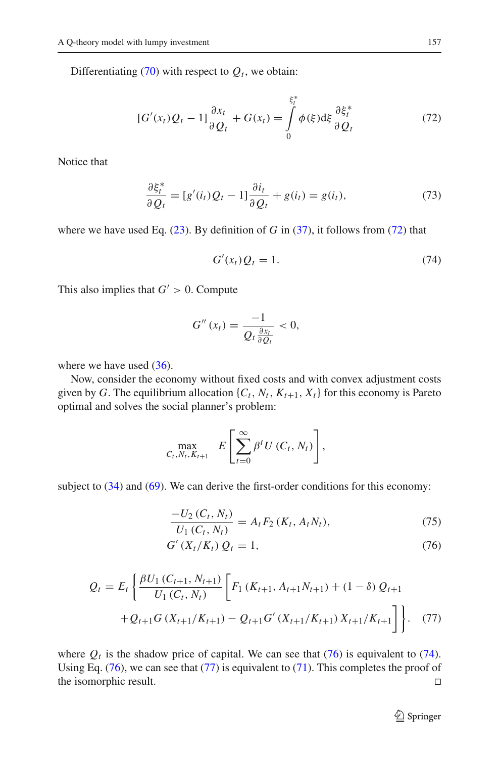Differentiating  $(70)$  with respect to  $Q_t$ , we obtain:

$$
[G'(x_t)Q_t - 1]\frac{\partial x_t}{\partial Q_t} + G(x_t) = \int\limits_0^{\xi_t^*} \phi(\xi) d\xi \frac{\partial \xi_t^*}{\partial Q_t}
$$
(72)

<span id="page-24-0"></span>Notice that

<span id="page-24-2"></span>
$$
\frac{\partial \xi_t^*}{\partial Q_t} = [g'(i_t)Q_t - 1] \frac{\partial i_t}{\partial Q_t} + g(i_t) = g(i_t),\tag{73}
$$

where we have used Eq.  $(23)$ . By definition of *G* in  $(37)$ , it follows from  $(72)$  that

$$
G'(x_t)Q_t = 1.
$$
\n<sup>(74)</sup>

This also implies that  $G' > 0$ . Compute

$$
G''(x_t)=\frac{-1}{Q_t\frac{\partial x_t}{\partial Q_t}}<0,
$$

where we have used  $(36)$ .

Now, consider the economy without fixed costs and with convex adjustment costs given by *G*. The equilibrium allocation  $\{C_t, N_t, K_{t+1}, X_t\}$  for this economy is Pareto optimal and solves the social planner's problem:

$$
\max_{C_t, N_t, K_{t+1}} E\left[\sum_{t=0}^{\infty} \beta^t U(C_t, N_t)\right],
$$

<span id="page-24-1"></span>subject to  $(34)$  and  $(69)$ . We can derive the first-order conditions for this economy:

$$
\frac{-U_2(C_t, N_t)}{U_1(C_t, N_t)} = A_t F_2(K_t, A_t N_t),
$$
\n(75)

$$
G'(X_t/K_t) Q_t = 1,
$$
\n<sup>(76)</sup>

<span id="page-24-3"></span>
$$
Q_{t} = E_{t} \left\{ \frac{\beta U_{1} (C_{t+1}, N_{t+1})}{U_{1} (C_{t}, N_{t})} \left[ F_{1} (K_{t+1}, A_{t+1} N_{t+1}) + (1 - \delta) Q_{t+1} \right. \right. \\ \left. + Q_{t+1} G (X_{t+1}/K_{t+1}) - Q_{t+1} G' (X_{t+1}/K_{t+1}) X_{t+1}/K_{t+1} \right] \right\}.
$$
 (77)

where  $Q_t$  is the shadow price of capital. We can see that  $(76)$  is equivalent to  $(74)$ . Using Eq.  $(76)$ , we can see that  $(77)$  is equivalent to  $(71)$ . This completes the proof of the isomorphic result.  $\Box$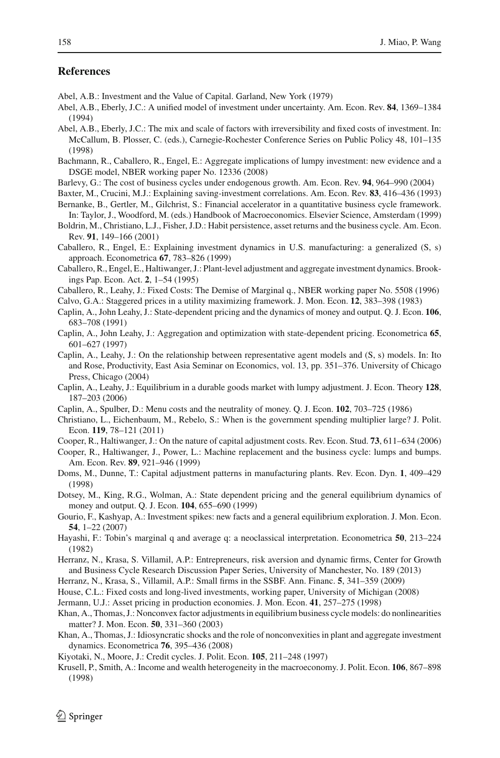## **References**

- <span id="page-25-6"></span>Abel, A.B.: Investment and the Value of Capital. Garland, New York (1979)
- <span id="page-25-12"></span>Abel, A.B., Eberly, J.C.: A unified model of investment under uncertainty. Am. Econ. Rev. **84**, 1369–1384 (1994)
- <span id="page-25-25"></span>Abel, A.B., Eberly, J.C.: The mix and scale of factors with irreversibility and fixed costs of investment. In: McCallum, B. Plosser, C. (eds.), Carnegie-Rochester Conference Series on Public Policy 48, 101–135 (1998)
- <span id="page-25-28"></span>Bachmann, R., Caballero, R., Engel, E.: Aggregate implications of lumpy investment: new evidence and a DSGE model, NBER working paper No. 12336 (2008)
- <span id="page-25-11"></span>Barlevy, G.: The cost of business cycles under endogenous growth. Am. Econ. Rev. **94**, 964–990 (2004)
- <span id="page-25-10"></span>Baxter, M., Crucini, M.J.: Explaining saving-investment correlations. Am. Econ. Rev. **83**, 416–436 (1993)
- <span id="page-25-13"></span>Bernanke, B., Gertler, M., Gilchrist, S.: Financial accelerator in a quantitative business cycle framework. In: Taylor, J., Woodford, M. (eds.) Handbook of Macroeconomics. Elsevier Science, Amsterdam (1999)
- <span id="page-25-9"></span>Boldrin, M., Christiano, L.J., Fisher, J.D.: Habit persistence, asset returns and the business cycle. Am. Econ. Rev. **91**, 149–166 (2001)
- <span id="page-25-3"></span>Caballero, R., Engel, E.: Explaining investment dynamics in U.S. manufacturing: a generalized (S, s) approach. Econometrica **67**, 783–826 (1999)
- <span id="page-25-15"></span>Caballero, R., Engel, E., Haltiwanger, J.: Plant-level adjustment and aggregate investment dynamics. Brookings Pap. Econ. Act. **2**, 1–54 (1995)
- <span id="page-25-26"></span>Caballero, R., Leahy, J.: Fixed Costs: The Demise of Marginal q., NBER working paper No. 5508 (1996)
- Calvo, G.A.: Staggered prices in a utility maximizing framework. J. Mon. Econ. **12**, 383–398 (1983)
- <span id="page-25-23"></span><span id="page-25-21"></span>Caplin, A., John Leahy, J.: State-dependent pricing and the dynamics of money and output. Q. J. Econ. **106**, 683–708 (1991)
- <span id="page-25-24"></span>Caplin, A., John Leahy, J.: Aggregation and optimization with state-dependent pricing. Econometrica **65**, 601–627 (1997)
- <span id="page-25-18"></span>Caplin, A., Leahy, J.: On the relationship between representative agent models and (S, s) models. In: Ito and Rose, Productivity, East Asia Seminar on Economics, vol. 13, pp. 351–376. University of Chicago Press, Chicago (2004)
- <span id="page-25-19"></span>Caplin, A., Leahy, J.: Equilibrium in a durable goods market with lumpy adjustment. J. Econ. Theory **128**, 187–203 (2006)
- Caplin, A., Spulber, D.: Menu costs and the neutrality of money. Q. J. Econ. **102**, 703–725 (1986)
- <span id="page-25-31"></span><span id="page-25-22"></span>Christiano, L., Eichenbaum, M., Rebelo, S.: When is the government spending multiplier large? J. Polit. Econ. **119**, 78–121 (2011)
- <span id="page-25-2"></span>Cooper, R., Haltiwanger, J.: On the nature of capital adjustment costs. Rev. Econ. Stud. **73**, 611–634 (2006)
- <span id="page-25-1"></span>Cooper, R., Haltiwanger, J., Power, L.: Machine replacement and the business cycle: lumps and bumps. Am. Econ. Rev. **89**, 921–946 (1999)
- <span id="page-25-0"></span>Doms, M., Dunne, T.: Capital adjustment patterns in manufacturing plants. Rev. Econ. Dyn. **1**, 409–429 (1998)
- <span id="page-25-16"></span>Dotsey, M., King, R.G., Wolman, A.: State dependent pricing and the general equilibrium dynamics of money and output. Q. J. Econ. **104**, 655–690 (1999)
- <span id="page-25-27"></span>Gourio, F., Kashyap, A.: Investment spikes: new facts and a general equilibrium exploration. J. Mon. Econ. **54**, 1–22 (2007)
- <span id="page-25-7"></span>Hayashi, F.: Tobin's marginal q and average q: a neoclassical interpretation. Econometrica **50**, 213–224 (1982)
- <span id="page-25-30"></span>Herranz, N., Krasa, S. Villamil, A.P.: Entrepreneurs, risk aversion and dynamic firms, Center for Growth and Business Cycle Research Discussion Paper Series, University of Manchester, No. 189 (2013)
- <span id="page-25-29"></span>Herranz, N., Krasa, S., Villamil, A.P.: Small firms in the SSBF. Ann. Financ. **5**, 341–359 (2009)
- <span id="page-25-20"></span>House, C.L.: Fixed costs and long-lived investments, working paper, University of Michigan (2008)
- <span id="page-25-8"></span><span id="page-25-4"></span>Jermann, U.J.: Asset pricing in production economies. J. Mon. Econ. **41**, 257–275 (1998)
- Khan, A., Thomas, J.: Nonconvex factor adjustments in equilibrium business cycle models: do nonlinearities matter? J. Mon. Econ. **50**, 331–360 (2003)
- <span id="page-25-5"></span>Khan, A., Thomas, J.: Idiosyncratic shocks and the role of nonconvexities in plant and aggregate investment dynamics. Econometrica **76**, 395–436 (2008)
- <span id="page-25-14"></span>Kiyotaki, N., Moore, J.: Credit cycles. J. Polit. Econ. **105**, 211–248 (1997)
- <span id="page-25-17"></span>Krusell, P., Smith, A.: Income and wealth heterogeneity in the macroeconomy. J. Polit. Econ. **106**, 867–898 (1998)